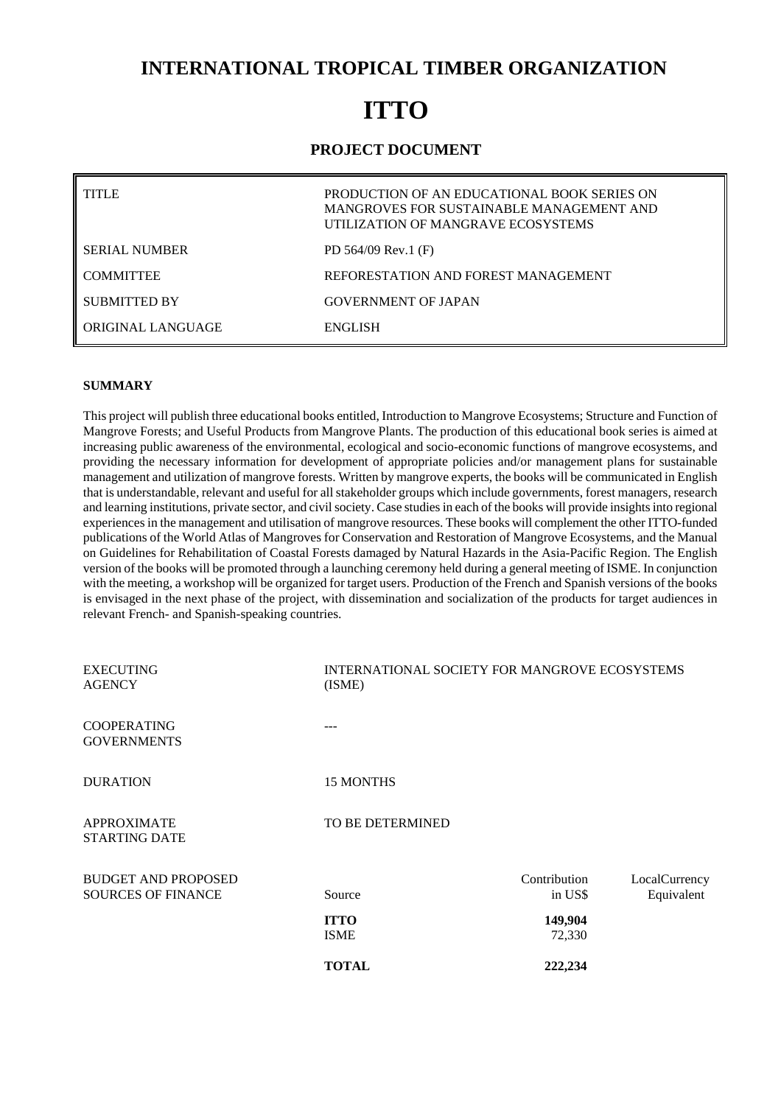## **INTERNATIONAL TROPICAL TIMBER ORGANIZATION**

# **ITTO**

## **PROJECT DOCUMENT**

| TITI E               | PRODUCTION OF AN EDUCATIONAL BOOK SERIES ON<br>MANGROVES FOR SUSTAINABLE MANAGEMENT AND<br>UTILIZATION OF MANGRAVE ECOSYSTEMS |
|----------------------|-------------------------------------------------------------------------------------------------------------------------------|
| <b>SERIAL NUMBER</b> | PD $564/09$ Rev.1 (F)                                                                                                         |
| <b>COMMITTEE</b>     | REFORESTATION AND FOREST MANAGEMENT                                                                                           |
| SUBMITTED BY         | <b>GOVERNMENT OF JAPAN</b>                                                                                                    |
| ORIGINAL LANGUAGE    | <b>ENGLISH</b>                                                                                                                |

#### **SUMMARY**

This project will publish three educational books entitled, Introduction to Mangrove Ecosystems; Structure and Function of Mangrove Forests; and Useful Products from Mangrove Plants. The production of this educational book series is aimed at increasing public awareness of the environmental, ecological and socio-economic functions of mangrove ecosystems, and providing the necessary information for development of appropriate policies and/or management plans for sustainable management and utilization of mangrove forests. Written by mangrove experts, the books will be communicated in English that is understandable, relevant and useful for all stakeholder groups which include governments, forest managers, research and learning institutions, private sector, and civil society. Case studies in each of the books will provide insights into regional experiences in the management and utilisation of mangrove resources. These books will complement the other ITTO-funded publications of the World Atlas of Mangroves for Conservation and Restoration of Mangrove Ecosystems, and the Manual on Guidelines for Rehabilitation of Coastal Forests damaged by Natural Hazards in the Asia-Pacific Region. The English version of the books will be promoted through a launching ceremony held during a general meeting of ISME. In conjunction with the meeting, a workshop will be organized for target users. Production of the French and Spanish versions of the books is envisaged in the next phase of the project, with dissemination and socialization of the products for target audiences in relevant French- and Spanish-speaking countries.

| <b>EXECUTING</b><br><b>AGENCY</b>                       | INTERNATIONAL SOCIETY FOR MANGROVE ECOSYSTEMS<br>(ISME) |                         |                             |  |
|---------------------------------------------------------|---------------------------------------------------------|-------------------------|-----------------------------|--|
| <b>COOPERATING</b><br><b>GOVERNMENTS</b>                |                                                         |                         |                             |  |
| <b>DURATION</b>                                         | <b>15 MONTHS</b>                                        |                         |                             |  |
| <b>APPROXIMATE</b><br><b>STARTING DATE</b>              | TO BE DETERMINED                                        |                         |                             |  |
| <b>BUDGET AND PROPOSED</b><br><b>SOURCES OF FINANCE</b> | Source                                                  | Contribution<br>in US\$ | LocalCurrency<br>Equivalent |  |
|                                                         | <b>ITTO</b><br><b>ISME</b>                              | 149,904<br>72,330       |                             |  |
|                                                         | <b>TOTAL</b>                                            | 222,234                 |                             |  |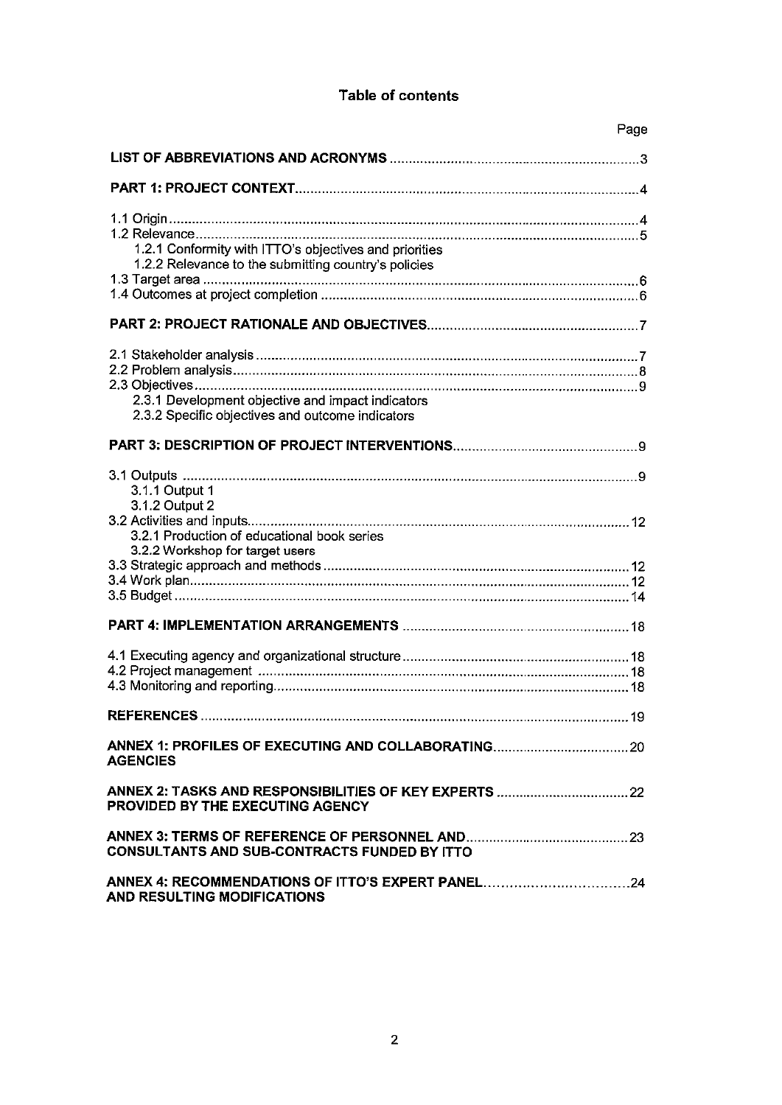## **Table of contents**

|                                                                                                                | Page |
|----------------------------------------------------------------------------------------------------------------|------|
|                                                                                                                |      |
|                                                                                                                |      |
| 1.2.1 Conformity with ITTO's objectives and priorities<br>1.2.2 Relevance to the submitting country's policies |      |
|                                                                                                                |      |
|                                                                                                                |      |
|                                                                                                                |      |
| 2.3.1 Development objective and impact indicators<br>2.3.2 Specific objectives and outcome indicators          |      |
|                                                                                                                |      |
| 3.1.1 Output 1<br>3.1.2 Output 2<br>3.2.1 Production of educational book series                                |      |
| 3.2.2 Workshop for target users                                                                                |      |
|                                                                                                                |      |
|                                                                                                                |      |
|                                                                                                                |      |
| <b>AGENCIES</b>                                                                                                |      |
| PROVIDED BY THE EXECUTING AGENCY                                                                               |      |
| <b>CONSULTANTS AND SUB-CONTRACTS FUNDED BY ITTO</b>                                                            |      |
| ANNEX 4: RECOMMENDATIONS OF ITTO'S EXPERT PANEL24<br>AND RESULTING MODIFICATIONS                               |      |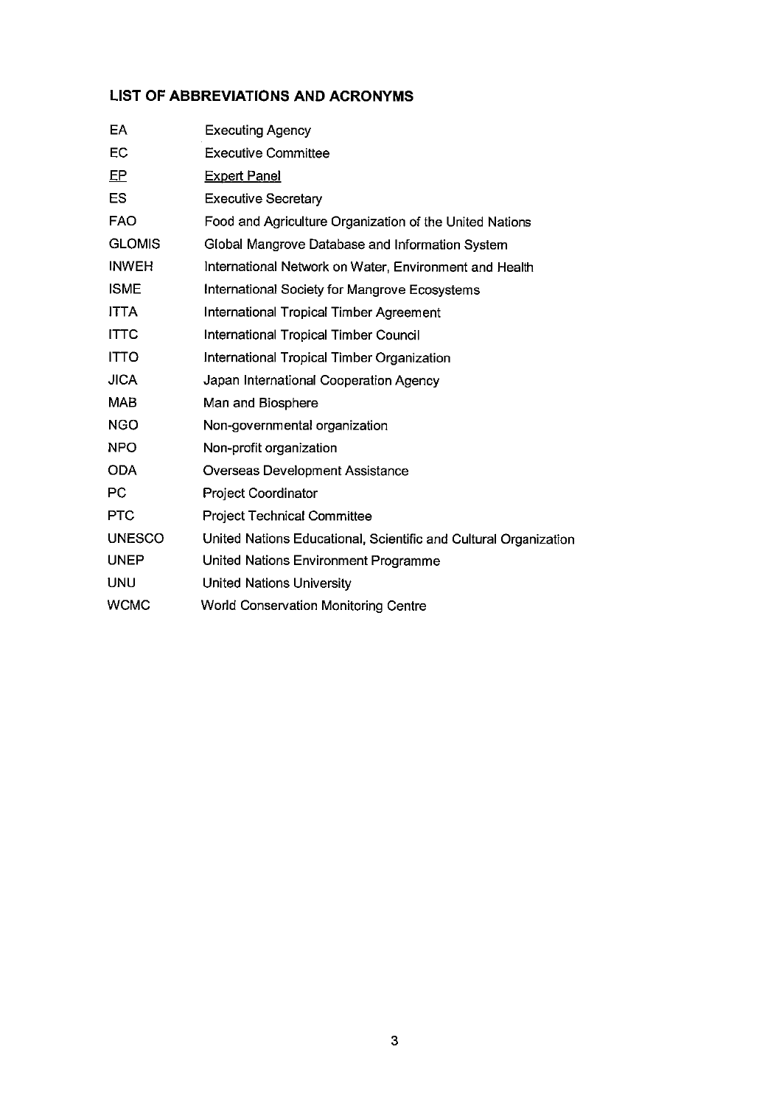## **LIST OF ABBREVIATIONS AND ACRONYMS**

| EA            | <b>Executing Agency</b>                                          |
|---------------|------------------------------------------------------------------|
| EC            | <b>Executive Committee</b>                                       |
| $E$ P         | <b>Expert Panel</b>                                              |
| ES            | <b>Executive Secretary</b>                                       |
| <b>FAO</b>    | Food and Agriculture Organization of the United Nations          |
| <b>GLOMIS</b> | Global Mangrove Database and Information System                  |
| <b>INWEH</b>  | International Network on Water, Environment and Health           |
| <b>ISME</b>   | International Society for Mangrove Ecosystems                    |
| <b>ITTA</b>   | <b>International Tropical Timber Agreement</b>                   |
| <b>ITTC</b>   | <b>International Tropical Timber Council</b>                     |
| <b>ITTO</b>   | International Tropical Timber Organization                       |
| <b>JICA</b>   | Japan International Cooperation Agency                           |
| <b>MAB</b>    | Man and Biosphere                                                |
| <b>NGO</b>    | Non-governmental organization                                    |
| <b>NPO</b>    | Non-profit organization                                          |
| <b>ODA</b>    | Overseas Development Assistance                                  |
| PC            | <b>Project Coordinator</b>                                       |
| <b>PTC</b>    | <b>Project Technical Committee</b>                               |
| <b>UNESCO</b> | United Nations Educational, Scientific and Cultural Organization |
| <b>UNEP</b>   | United Nations Environment Programme                             |
| UNU           | <b>United Nations University</b>                                 |
| <b>WCMC</b>   | <b>World Conservation Monitoring Centre</b>                      |
|               |                                                                  |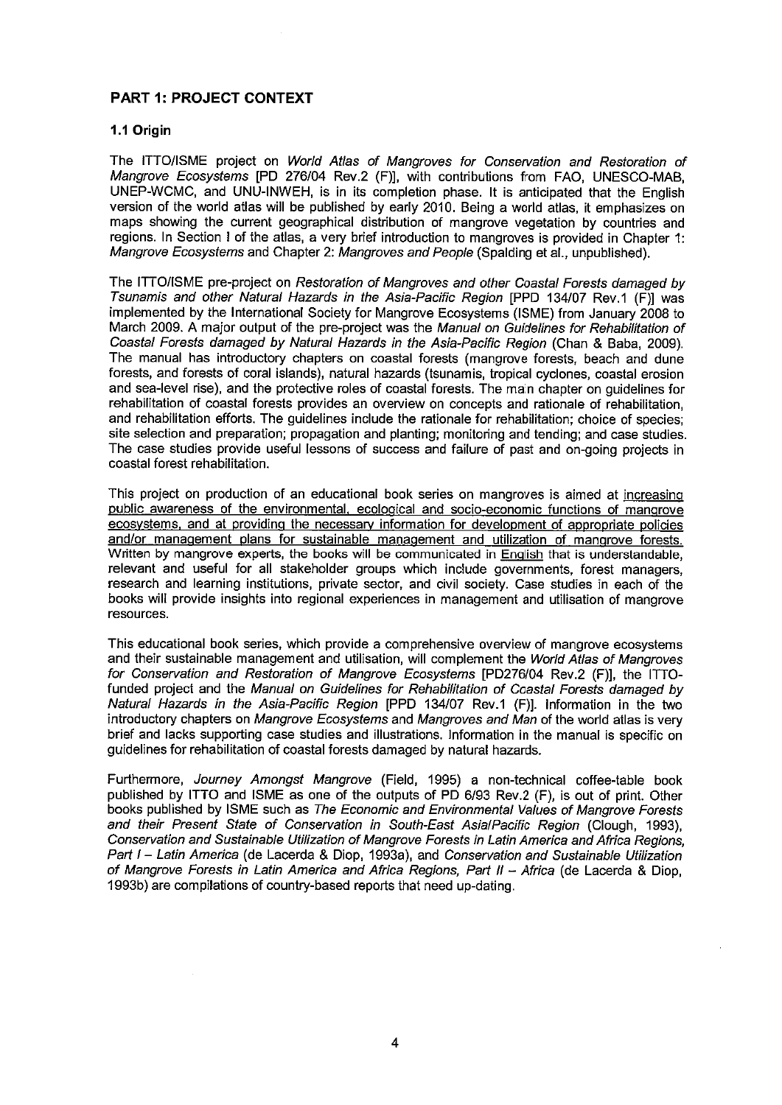## **PART 1: PROJECT CONTEXT**

#### 1.1 Origin

The ITTO/ISME project on World Atlas of Mangroves for Conservation and Restoration of Manarove Ecosystems [PD 276/04 Rev.2 (F)], with contributions from FAO, UNESCO-MAB, UNEP-WCMC, and UNU-INWEH, is in its completion phase. It is anticipated that the English version of the world atlas will be published by early 2010. Being a world atlas, it emphasizes on maps showing the current geographical distribution of mangrove vegetation by countries and regions. In Section I of the atlas, a very brief introduction to mangroves is provided in Chapter 1: Mangrove Ecosystems and Chapter 2: Mangroves and People (Spalding et al., unpublished).

The ITTO/ISME pre-project on Restoration of Mangroves and other Coastal Forests damaged by Tsunamis and other Natural Hazards in the Asia-Pacific Region [PPD 134/07 Rev.1 (F)] was implemented by the International Society for Mangrove Ecosystems (ISME) from January 2008 to March 2009. A major output of the pre-project was the Manual on Guidelines for Rehabilitation of Coastal Forests damaged by Natural Hazards in the Asia-Pacific Region (Chan & Baba, 2009). The manual has introductory chapters on coastal forests (mangrove forests, beach and dune forests, and forests of coral islands), natural hazards (tsunamis, tropical cyclones, coastal erosion and sea-level rise), and the protective roles of coastal forests. The main chapter on quidelines for rehabilitation of coastal forests provides an overview on concepts and rationale of rehabilitation. and rehabilitation efforts. The guidelines include the rationale for rehabilitation; choice of species; site selection and preparation; propagation and planting; monitoring and tending; and case studies. The case studies provide useful lessons of success and failure of past and on-going projects in coastal forest rehabilitation.

This project on production of an educational book series on mangroves is aimed at increasing public awareness of the environmental, ecological and socio-economic functions of mangrove ecosystems, and at providing the necessary information for development of appropriate policies and/or management plans for sustainable management and utilization of mangrove forests. Written by mangrove experts, the books will be communicated in English that is understandable, relevant and useful for all stakeholder groups which include governments, forest managers, research and learning institutions, private sector, and civil society. Case studies in each of the books will provide insights into regional experiences in management and utilisation of mangrove resources.

This educational book series, which provide a comprehensive overview of mangrove ecosystems and their sustainable management and utilisation, will complement the World Atlas of Mangroves for Conservation and Restoration of Mangrove Ecosystems [PD276/04 Rev.2 (F)], the ITTOfunded project and the Manual on Guidelines for Rehabilitation of Coastal Forests damaged by Natural Hazards in the Asia-Pacific Region [PPD 134/07 Rev.1 (F)]. Information in the two introductory chapters on Mangrove Ecosystems and Mangroves and Man of the world atlas is very brief and lacks supporting case studies and illustrations. Information in the manual is specific on guidelines for rehabilitation of coastal forests damaged by natural hazards.

Furthermore, Journey Amongst Mangrove (Field, 1995) a non-technical coffee-table book published by ITTO and ISME as one of the outputs of PD 6/93 Rev.2 (F), is out of print. Other books published by ISME such as The Economic and Environmental Values of Mangrove Forests and their Present State of Conservation in South-East AsialPacific Region (Clough, 1993), Conservation and Sustainable Utilization of Mangrove Forests in Latin America and Africa Regions. Part I - Latin America (de Lacerda & Diop, 1993a), and Conservation and Sustainable Utilization of Mangrove Forests in Latin America and Africa Regions, Part II - Africa (de Lacerda & Diop, 1993b) are compilations of country-based reports that need up-dating.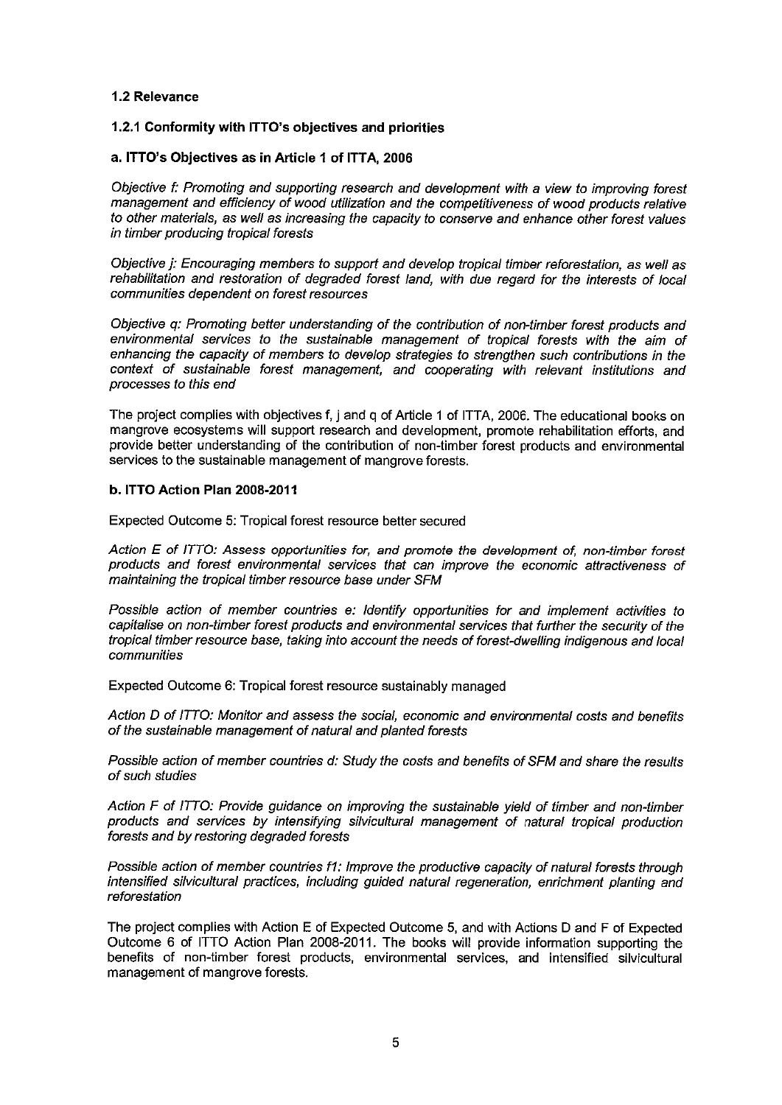#### 1.2 Relevance

#### 1.2.1 Conformity with ITTO's objectives and priorities

#### a. ITTO's Objectives as in Article 1 of ITTA, 2006

Objective f: Promoting and supporting research and development with a view to improving forest management and efficiency of wood utilization and the competitiveness of wood products relative to other materials, as well as increasing the capacity to conserve and enhance other forest values in timber producing tropical forests

Objective j: Encouraging members to support and develop tropical timber reforestation, as well as rehabilitation and restoration of degraded forest land, with due regard for the interests of local communities dependent on forest resources

Objective q: Promoting better understanding of the contribution of non-timber forest products and environmental services to the sustainable management of tropical forests with the aim of enhancing the capacity of members to develop strategies to strengthen such contributions in the context of sustainable forest management, and cooperating with relevant institutions and processes to this end

The project complies with objectives f, j and q of Article 1 of ITTA, 2006. The educational books on mangrove ecosystems will support research and development, promote rehabilitation efforts, and provide better understanding of the contribution of non-timber forest products and environmental services to the sustainable management of manarove forests.

#### b. ITTO Action Plan 2008-2011

Expected Outcome 5: Tropical forest resource better secured

Action E of ITTO: Assess opportunities for, and promote the development of, non-timber forest products and forest environmental services that can improve the economic attractiveness of maintaining the tropical timber resource base under SFM

Possible action of member countries e: Identify opportunities for and implement activities to capitalise on non-timber forest products and environmental services that further the security of the tropical timber resource base, taking into account the needs of forest-dwelling indigenous and local communities

Expected Outcome 6: Tropical forest resource sustainably managed

Action D of ITTO: Monitor and assess the social, economic and environmental costs and benefits of the sustainable management of natural and planted forests

Possible action of member countries d: Study the costs and benefits of SFM and share the results of such studies

Action F of ITTO: Provide guidance on improving the sustainable vield of timber and non-timber products and services by intensifying silvicultural management of natural tropical production forests and by restoring degraded forests

Possible action of member countries f1: Improve the productive capacity of natural forests through intensified silvicultural practices, including guided natural regeneration, enrichment planting and reforestation

The project complies with Action E of Expected Outcome 5, and with Actions D and F of Expected Outcome 6 of ITTO Action Plan 2008-2011. The books will provide information supporting the benefits of non-timber forest products, environmental services, and intensified silvicultural management of mangrove forests.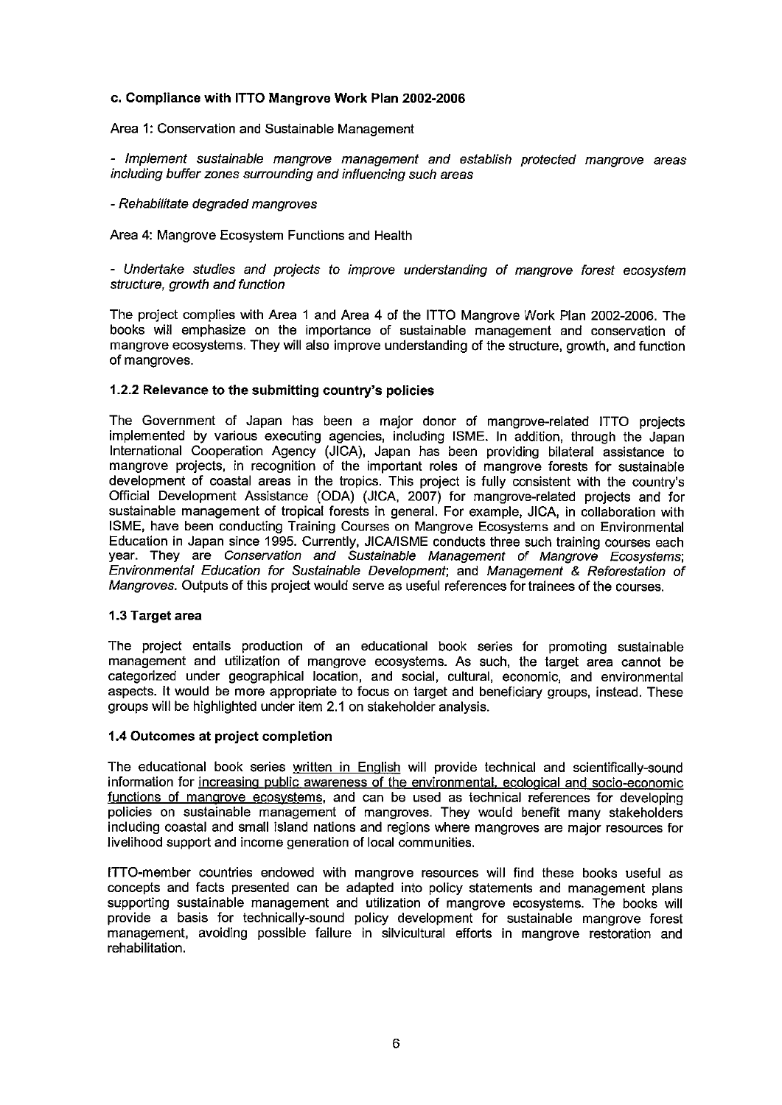#### c. Compliance with ITTO Mangrove Work Plan 2002-2006

#### Area 1: Conservation and Sustainable Management

- Implement sustainable mangrove management and establish protected mangrove areas including buffer zones surrounding and influencing such areas

#### - Rehabilitate degraded mangroves

Area 4: Mangrove Ecosystem Functions and Health

- Undertake studies and projects to improve understanding of mangrove forest ecosystem structure, growth and function

The project complies with Area 1 and Area 4 of the ITTO Mangrove Work Plan 2002-2006. The books will emphasize on the importance of sustainable management and conservation of mangrove ecosystems. They will also improve understanding of the structure, growth, and function of mangroves.

#### 1.2.2 Relevance to the submitting country's policies

The Government of Japan has been a major donor of mangrove-related ITTO projects implemented by various executing agencies, including ISME. In addition, through the Japan International Cooperation Agency (JICA), Japan has been providing bilateral assistance to mangrove projects, in recognition of the important roles of mangrove forests for sustainable development of coastal areas in the tropics. This project is fully consistent with the country's Official Development Assistance (ODA) (JICA, 2007) for mangrove-related projects and for sustainable management of tropical forests in general. For example, JICA, in collaboration with ISME, have been conducting Training Courses on Mangrove Ecosystems and on Environmental Education in Japan since 1995. Currently, JICA/ISME conducts three such training courses each year. They are Conservation and Sustainable Management of Mangrove Ecosystems; Environmental Education for Sustainable Development; and Management & Reforestation of Mangroves. Outputs of this project would serve as useful references for trainees of the courses.

#### 1.3 Target area

The project entails production of an educational book series for promoting sustainable management and utilization of mangrove ecosystems. As such, the target area cannot be categorized under geographical location, and social, cultural, economic, and environmental aspects. It would be more appropriate to focus on target and beneficiary groups, instead. These groups will be highlighted under item 2.1 on stakeholder analysis.

#### 1.4 Outcomes at project completion

The educational book series written in English will provide technical and scientifically-sound information for increasing public awareness of the environmental, ecological and socio-economic functions of mangrove ecosystems, and can be used as technical references for developing policies on sustainable management of mangroves. They would benefit many stakeholders including coastal and small island nations and regions where mangroves are major resources for livelihood support and income generation of local communities.

ITTO-member countries endowed with mangrove resources will find these books useful as concepts and facts presented can be adapted into policy statements and management plans supporting sustainable management and utilization of mangrove ecosystems. The books will provide a basis for technically-sound policy development for sustainable mangrove forest management, avoiding possible failure in silvicultural efforts in mangrove restoration and rehabilitation.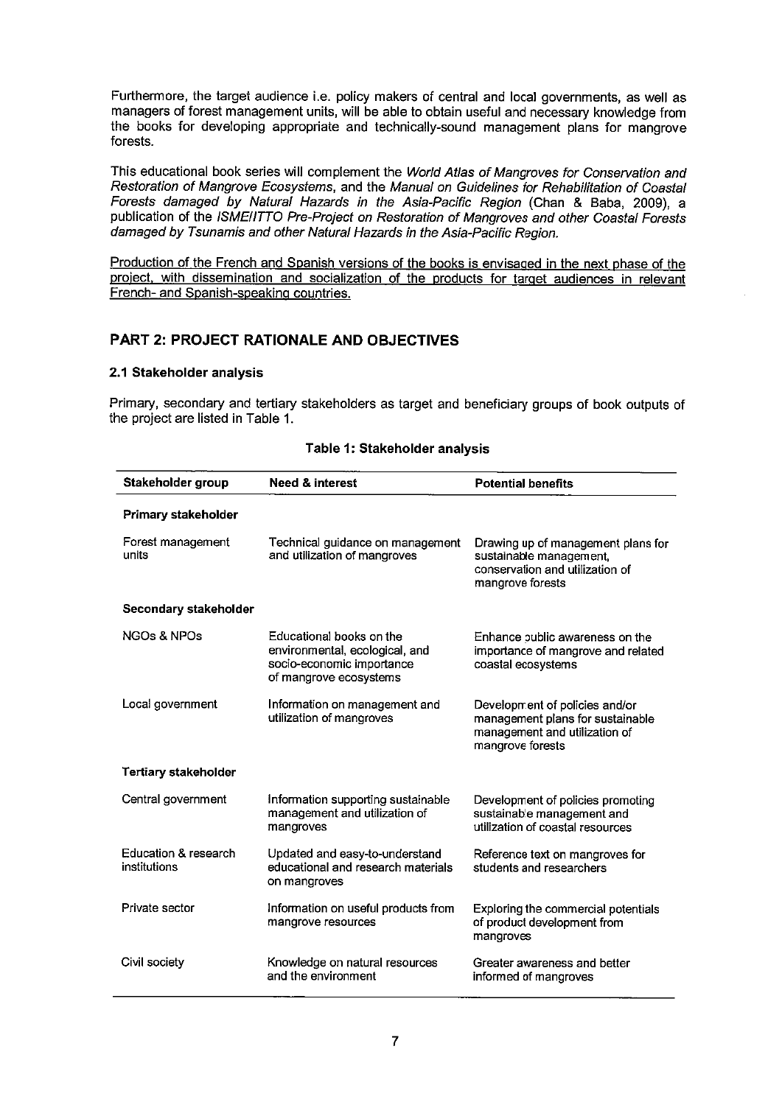Furthermore, the target audience i.e. policy makers of central and local governments, as well as managers of forest management units, will be able to obtain useful and necessary knowledge from the books for developing appropriate and technically-sound management plans for manarove forests.

This educational book series will complement the World Atlas of Mangroves for Conservation and Restoration of Mangrove Ecosystems, and the Manual on Guidelines for Rehabilitation of Coastal Forests damaged by Natural Hazards in the Asia-Pacific Region (Chan & Baba, 2009), a publication of the ISMEIITTO Pre-Project on Restoration of Mangroves and other Coastal Forests damaged by Tsunamis and other Natural Hazards in the Asia-Pacific Region.

Production of the French and Spanish versions of the books is envisaged in the next phase of the project, with dissemination and socialization of the products for target audiences in relevant French- and Spanish-speaking countries.

## **PART 2: PROJECT RATIONALE AND OBJECTIVES**

#### 2.1 Stakeholder analysis

Primary, secondary and tertiary stakeholders as target and beneficiary groups of book outputs of the project are listed in Table 1.

| Stakeholder group                    | <b>Need &amp; interest</b>                                                                                        | <b>Potential benefits</b>                                                                                               |
|--------------------------------------|-------------------------------------------------------------------------------------------------------------------|-------------------------------------------------------------------------------------------------------------------------|
| Primary stakeholder                  |                                                                                                                   |                                                                                                                         |
| Forest management<br>units           | Technical guidance on management<br>and utilization of mangroves                                                  | Drawing up of management plans for<br>sustainable management,<br>conservation and utilization of<br>mangrove forests    |
| Secondary stakeholder                |                                                                                                                   |                                                                                                                         |
| NGOs & NPOs                          | Educational books on the<br>environmental, ecological, and<br>socio-economic importance<br>of mangrove ecosystems | Enhance public awareness on the<br>importance of mangrove and related<br>coastal ecosystems                             |
| Local government                     | Information on management and<br>utilization of mangroves                                                         | Development of policies and/or<br>management plans for sustainable<br>management and utilization of<br>mangrove forests |
| <b>Tertiary stakeholder</b>          |                                                                                                                   |                                                                                                                         |
| Central government                   | Information supporting sustainable<br>management and utilization of<br>mangroves                                  | Development of policies promoting<br>sustainable management and<br>utilization of coastal resources                     |
| Education & research<br>institutions | Updated and easy-to-understand<br>educational and research materials<br>on mangroves                              | Reference text on mangroves for<br>students and researchers                                                             |
| Private sector                       | Information on useful products from<br>mangrove resources                                                         | Exploring the commercial potentials<br>of product development from<br>mangroves                                         |
| Civil society                        | Knowledge on natural resources<br>and the environment                                                             | Greater awareness and better<br>informed of mangroves                                                                   |

#### Table 1: Stakeholder analysis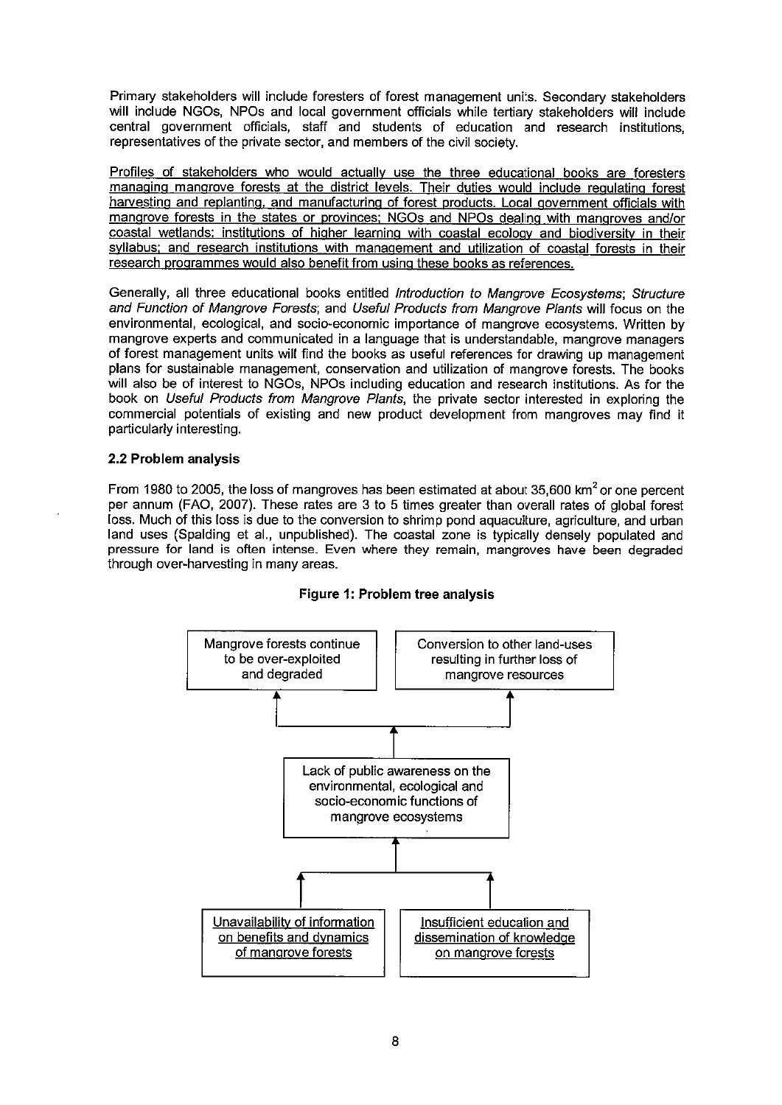Primary stakeholders will include foresters of forest management units. Secondary stakeholders will include NGOs, NPOs and local government officials while tertiary stakeholders will include central government officials, staff and students of education and research institutions. representatives of the private sector, and members of the civil society.

Profiles of stakeholders who would actually use the three educational books are foresters managing mangrove forests at the district levels. Their duties would include regulating forest harvesting and replanting, and manufacturing of forest products. Local government officials with mangrove forests in the states or provinces; NGOs and NPOs dealing with mangroves and/or coastal wetlands; institutions of higher learning with coastal ecology and biodiversity in their syllabus; and research institutions with management and utilization of coastal forests in their research programmes would also benefit from using these books as references.

Generally, all three educational books entitled Introduction to Mangrove Ecosystems; Structure and Function of Mangrove Forests; and Useful Products from Mangrove Plants will focus on the environmental, ecological, and socio-economic importance of mangrove ecosystems. Written by mangrove experts and communicated in a language that is understandable, mangrove managers of forest management units will find the books as useful references for drawing up management plans for sustainable management, conservation and utilization of mangrove forests. The books will also be of interest to NGOs, NPOs including education and research institutions. As for the book on Useful Products from Mangrove Plants, the private sector interested in exploring the commercial potentials of existing and new product development from mangroves may find it particularly interesting.

#### 2.2 Problem analysis

From 1980 to 2005, the loss of mangroves has been estimated at about 35,600 km<sup>2</sup> or one percent per annum (FAO, 2007). These rates are 3 to 5 times greater than overall rates of global forest loss. Much of this loss is due to the conversion to shrimp pond aquaculture, agriculture, and urban land uses (Spalding et al., unpublished). The coastal zone is typically densely populated and pressure for land is often intense. Even where they remain, mangroves have been degraded through over-harvesting in many areas.



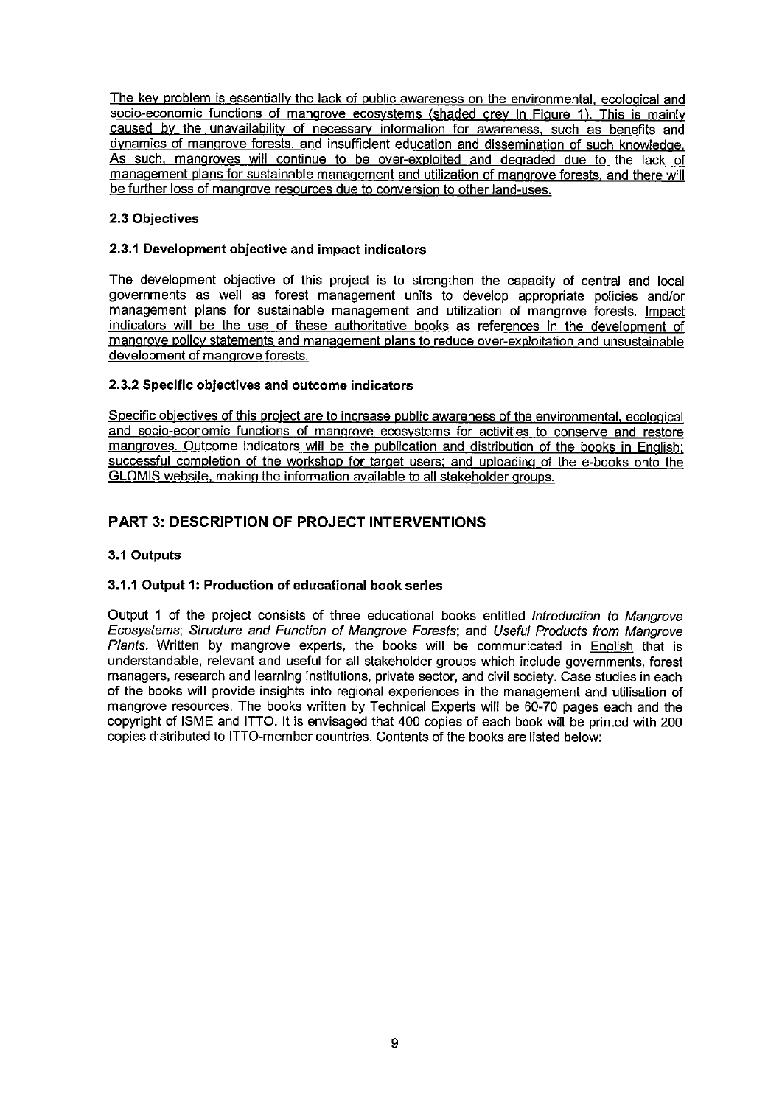The key problem is essentially the lack of public awareness on the environmental, ecological and socio-economic functions of mangrove ecosystems (shaded grey in Figure 1). This is mainly caused by the unavailability of necessary information for awareness, such as benefits and dynamics of mangrove forests, and insufficient education and dissemination of such knowledge. As such, mangroves will continue to be over-exploited and degraded due to the lack of management plans for sustainable management and utilization of mangrove forests, and there will be further loss of mangrove resources due to conversion to other land-uses.

## 2.3 Objectives

#### 2.3.1 Development objective and impact indicators

The development objective of this project is to strengthen the capacity of central and local governments as well as forest management units to develop appropriate policies and/or management plans for sustainable management and utilization of mangrove forests. Impact indicators will be the use of these authoritative books as references in the development of mangrove policy statements and management plans to reduce over-exploitation and unsustainable development of mangrove forests.

### 2.3.2 Specific objectives and outcome indicators

Specific objectives of this project are to increase public awareness of the environmental, ecological and socio-economic functions of mangrove ecosystems for activities to conserve and restore mangroves. Outcome indicators will be the publication and distribution of the books in English; successful completion of the workshop for target users; and uploading of the e-books onto the GLOMIS website, making the information available to all stakeholder groups.

## **PART 3: DESCRIPTION OF PROJECT INTERVENTIONS**

### 3.1 Outputs

## 3.1.1 Output 1: Production of educational book series

Output 1 of the project consists of three educational books entitled Introduction to Mangrove Ecosystems: Structure and Function of Mangrove Forests; and Useful Products from Mangrove Plants. Written by mangrove experts, the books will be communicated in English that is understandable, relevant and useful for all stakeholder groups which include governments, forest managers, research and learning institutions, private sector, and civil society. Case studies in each of the books will provide insights into regional experiences in the management and utilisation of mangrove resources. The books written by Technical Experts will be 60-70 pages each and the copyright of ISME and ITTO. It is envisaged that 400 copies of each book will be printed with 200 copies distributed to ITTO-member countries. Contents of the books are listed below: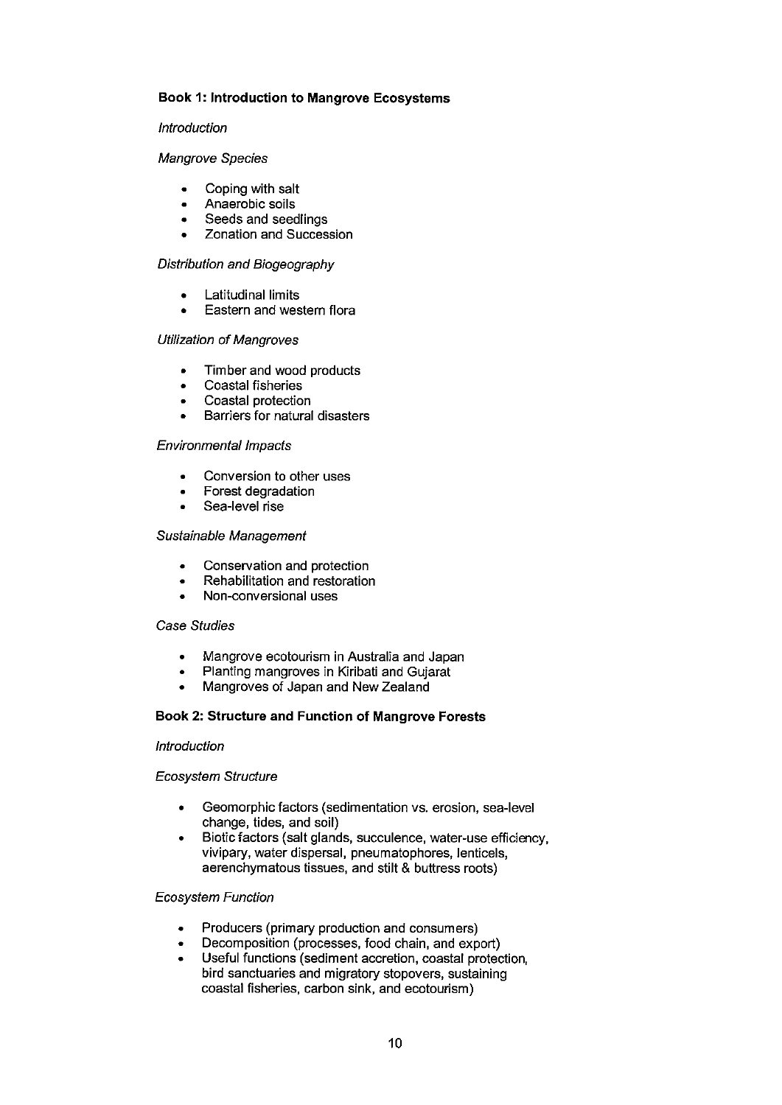#### **Book 1: Introduction to Mangrove Ecosystems**

#### Introduction

#### Mangrove Species

- Coping with salt  $\bullet$
- Anaerobic soils  $\bullet$
- Seeds and seedlings  $\bullet$
- Zonation and Succession

#### Distribution and Biogeography

- **Latitudinal limits**
- Eastern and western flora

#### **Utilization of Mangroves**

- Timber and wood products  $\bullet$
- Coastal fisheries
- Coastal protection
- Barriers for natural disasters

#### **Environmental Impacts**

- Conversion to other uses
- Forest degradation
- Sea-level rise

#### Sustainable Management

- Conservation and protection  $\bullet$
- Rehabilitation and restoration  $\bullet$
- Non-conversional uses

#### Case Studies

- Mangrove ecotourism in Australia and Japan  $\bullet$
- Planting mangroves in Kiribati and Gujarat  $\bullet$
- Mangroves of Japan and New Zealand  $\bullet$

#### Book 2: Structure and Function of Mangrove Forests

#### Introduction

#### **Ecosystem Structure**

- Geomorphic factors (sedimentation vs. erosion, sea-level change, tides, and soil)
- Biotic factors (salt glands, succulence, water-use efficiency, vivipary, water dispersal, pneumatophores, lenticels, aerenchymatous tissues, and stilt & buttress roots)

#### **Ecosystem Function**

- Producers (primary production and consumers)
- Decomposition (processes, food chain, and export)
- $\bullet$ Useful functions (sediment accretion, coastal protection, bird sanctuaries and migratory stopovers, sustaining coastal fisheries, carbon sink, and ecotourism)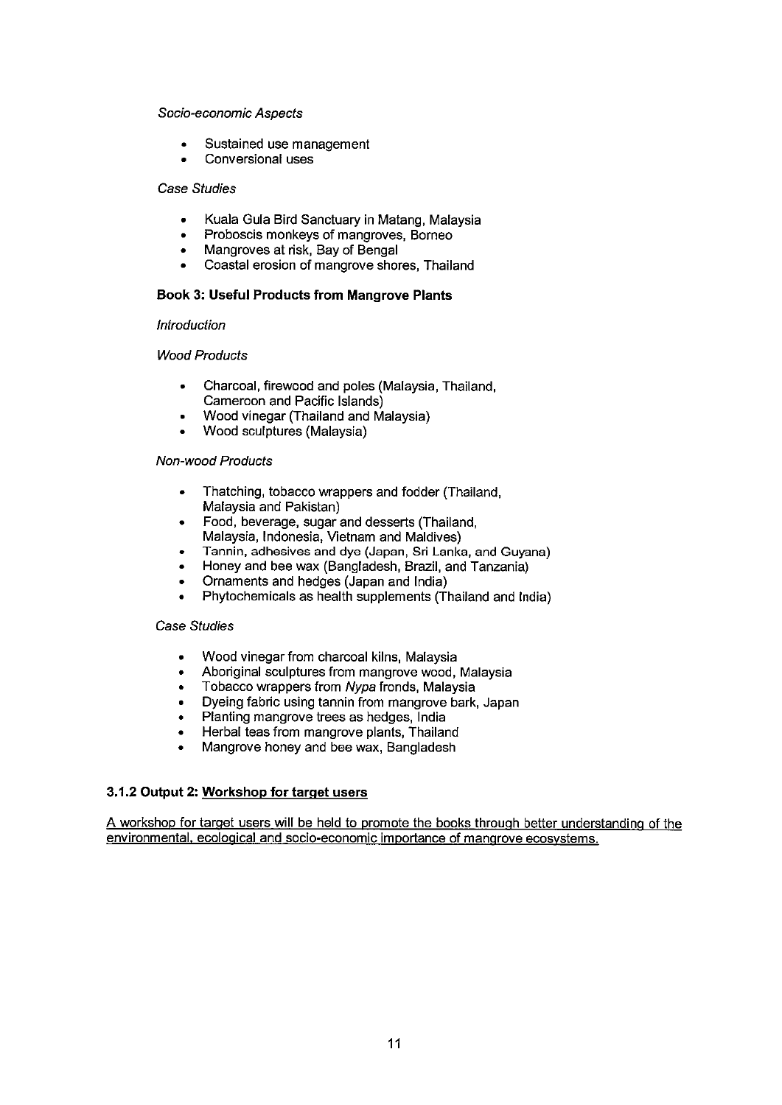#### Socio-economic Aspects

- Sustained use management
- Conversional uses

#### **Case Studies**

- Kuala Gula Bird Sanctuary in Matang, Malaysia  $\bullet$
- Proboscis monkeys of mangroves, Borneo
- Mangroves at risk, Bay of Bengal
- Coastal erosion of mangrove shores. Thailand

#### **Book 3: Useful Products from Mangrove Plants**

#### **Introduction**

#### **Wood Products**

- Charcoal, firewood and poles (Malaysia, Thailand,  $\bullet$ Cameroon and Pacific Islands)
- Wood vinegar (Thailand and Malaysia)
- Wood sculptures (Malaysia)

#### **Non-wood Products**

- Thatching, tobacco wrappers and fodder (Thailand, Malaysia and Pakistan)
- Food, beverage, sugar and desserts (Thailand, Malaysia, Indonesia, Vietnam and Maldives)
- Tannin, adhesives and dye (Japan, Sri Lanka, and Guyana)
- Honey and bee wax (Bangladesh, Brazil, and Tanzania)
- Ornaments and hedges (Japan and India)
- Phytochemicals as health supplements (Thailand and India)

#### **Case Studies**

- Wood vinegar from charcoal kilns, Malaysia  $\bullet$
- Aboriginal sculptures from mangrove wood, Malaysia
- Tobacco wrappers from Nypa fronds, Malaysia  $\bullet$
- Dyeing fabric using tannin from mangrove bark, Japan  $\bullet$
- Planting mangrove trees as hedges, India
- Herbal teas from mangrove plants, Thailand
- Mangrove honey and bee wax, Bangladesh

#### 3.1.2 Output 2: Workshop for target users

A workshop for target users will be held to promote the books through better understanding of the environmental, ecological and socio-economic importance of mangrove ecosystems.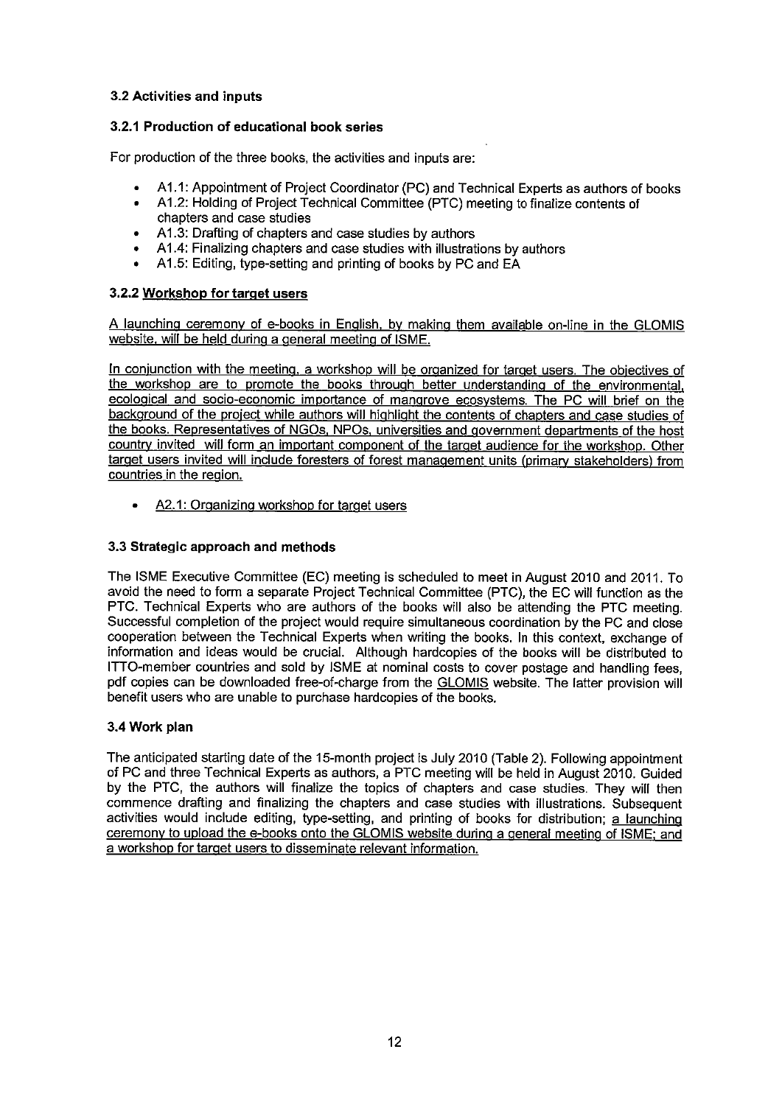## 3.2 Activities and inputs

## 3.2.1 Production of educational book series

For production of the three books, the activities and inputs are:

- A1.1: Appointment of Project Coordinator (PC) and Technical Experts as authors of books
- A1.2: Holding of Project Technical Committee (PTC) meeting to finalize contents of chapters and case studies
- A1.3: Drafting of chapters and case studies by authors
- A1.4: Finalizing chapters and case studies with illustrations by authors
- A1.5: Editing, type-setting and printing of books by PC and EA

### 3.2.2 Workshop for target users

A launching ceremony of e-books in English, by making them available on-line in the GLOMIS website, will be held during a general meeting of ISME.

In conjunction with the meeting, a workshop will be organized for target users. The objectives of the workshop are to promote the books through better understanding of the environmental, ecological and socio-economic importance of mangrove ecosystems. The PC will brief on the background of the project while authors will highlight the contents of chapters and case studies of the books. Representatives of NGOs, NPOs, universities and government departments of the host country invited will form an important component of the target audience for the workshop. Other target users invited will include foresters of forest management units (primary stakeholders) from countries in the region.

A2.1: Organizing workshop for target users  $\bullet$ 

#### 3.3 Strategic approach and methods

The ISME Executive Committee (EC) meeting is scheduled to meet in August 2010 and 2011. To avoid the need to form a separate Project Technical Committee (PTC), the EC will function as the PTC. Technical Experts who are authors of the books will also be attending the PTC meeting. Successful completion of the project would require simultaneous coordination by the PC and close cooperation between the Technical Experts when writing the books. In this context, exchange of information and ideas would be crucial. Although hardcopies of the books will be distributed to ITTO-member countries and sold by ISME at nominal costs to cover postage and handling fees, pdf copies can be downloaded free-of-charge from the GLOMIS website. The latter provision will benefit users who are unable to purchase hardcopies of the books.

#### 3.4 Work plan

The anticipated starting date of the 15-month project is July 2010 (Table 2). Following appointment of PC and three Technical Experts as authors, a PTC meeting will be held in August 2010. Guided by the PTC, the authors will finalize the topics of chapters and case studies. They will then commence drafting and finalizing the chapters and case studies with illustrations. Subsequent activities would include editing, type-setting, and printing of books for distribution; a launching ceremony to upload the e-books onto the GLOMIS website during a general meeting of ISME; and a workshop for target users to disseminate relevant information.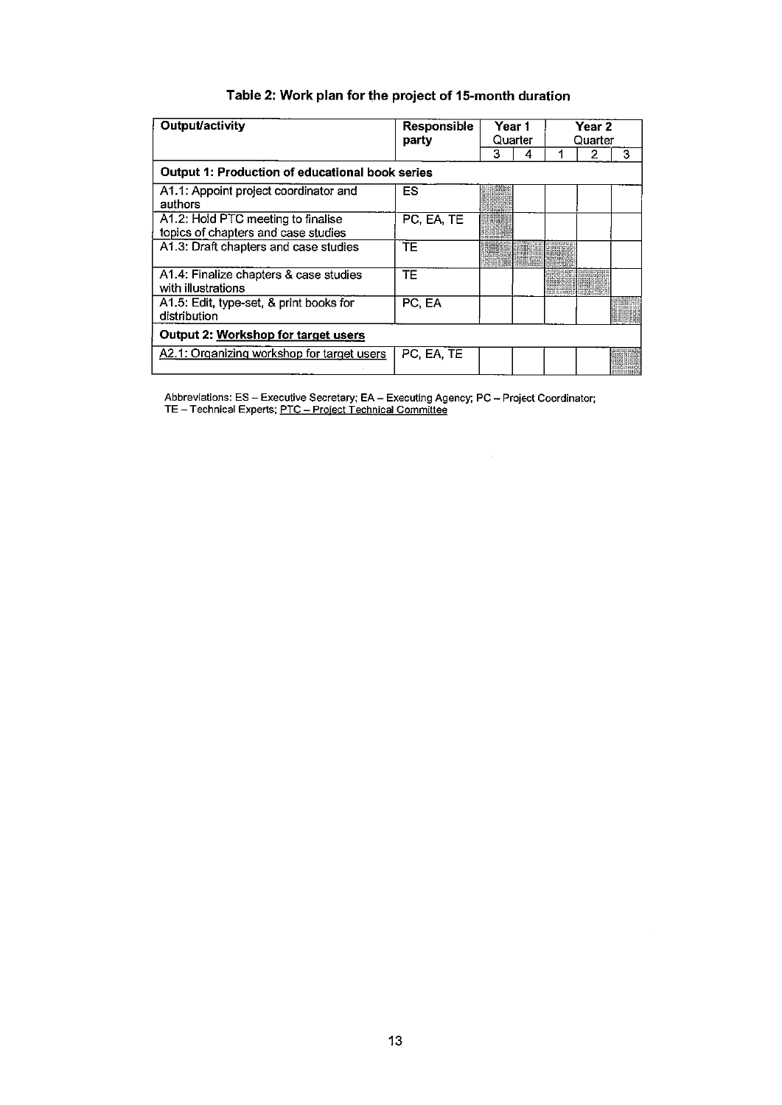## Table 2: Work plan for the project of 15-month duration

| Output/activity                                                           | Responsible | Year 1 |  | party<br>Quarter |  | Year 2<br>Quarter |  |
|---------------------------------------------------------------------------|-------------|--------|--|------------------|--|-------------------|--|
|                                                                           |             | 3      |  |                  |  | 3                 |  |
| Output 1: Production of educational book series                           |             |        |  |                  |  |                   |  |
| A1.1: Appoint project coordinator and<br>authors                          | ES          |        |  |                  |  |                   |  |
| A1.2: Hold PTC meeting to finalise<br>topics of chapters and case studies | PC, EA, TE  |        |  |                  |  |                   |  |
| A1.3: Draft chapters and case studies                                     | TF          |        |  |                  |  |                   |  |
| A1.4: Finalize chapters & case studies<br>with illustrations              | TE          |        |  |                  |  |                   |  |
| A1.5: Edit, type-set, & print books for<br>distribution                   | PC, EA      |        |  |                  |  |                   |  |
| Output 2: Workshop for target users                                       |             |        |  |                  |  |                   |  |
| A2.1: Organizing workshop for target users                                | PC, EA, TE  |        |  |                  |  |                   |  |

Abbreviations: ES - Executive Secretary; EA - Executing Agency; PC - Project Coordinator;<br>TE - Technical Experts; <u>PTC - Project Technical Committee</u>

 $\sim$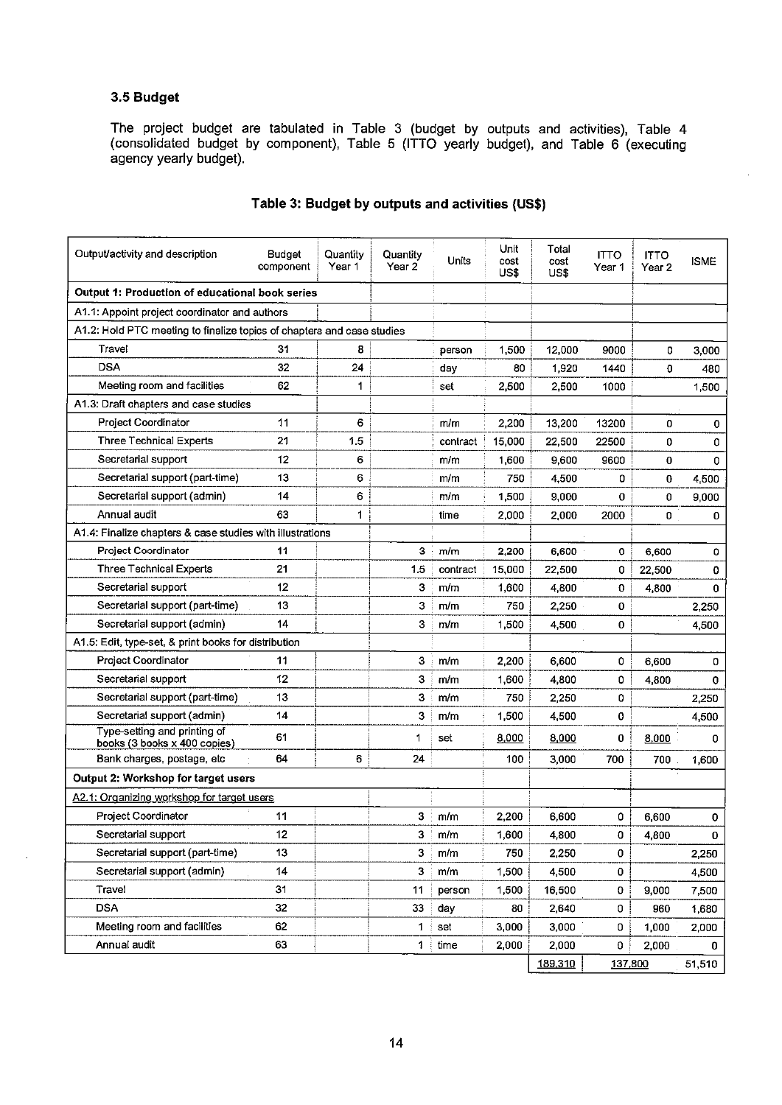## 3.5 Budget

The project budget are tabulated in Table 3 (budget by outputs and activities), Table 4 (consolidated budget by component), Table 5 (ITTO yearly budget), and Table 6 (executing agency yearly budget).

| Output/activity and description                                        | <b>Budget</b><br>component | Quantity<br>Year 1 | Quantity<br>Year 2 | Units    | Unit<br>cost<br>US\$ | Total<br>cost<br>US\$ | <b>ITTO</b><br>Year 1 | <b>ITTO</b><br>Year 2 | ISME     |
|------------------------------------------------------------------------|----------------------------|--------------------|--------------------|----------|----------------------|-----------------------|-----------------------|-----------------------|----------|
| Output 1: Production of educational book series                        |                            |                    |                    |          |                      |                       |                       |                       |          |
| A1.1: Appoint project coordinator and authors                          |                            |                    |                    |          |                      |                       |                       |                       |          |
| A1.2: Hold PTC meeting to finalize topics of chapters and case studies |                            |                    |                    |          |                      |                       |                       |                       |          |
| Travel                                                                 | 31                         | 8                  |                    | person   | 1,500                | 12,000                | 9000                  | 0                     | 3,000    |
| <b>DSA</b>                                                             | 32                         | 24                 |                    | day      | 80                   | 1,920                 | 1440                  | 0                     | 480      |
| Meeting room and facilities                                            | 62                         | 1                  |                    | set      | 2,500                | 2,500                 | 1000                  |                       | 1,500    |
| A1.3: Draft chapters and case studies                                  |                            |                    |                    |          |                      |                       |                       |                       |          |
| Project Coordinator                                                    | 11                         | 6                  |                    | m/m      | 2,200                | 13,200                | 13200                 | 0                     | 0        |
| <b>Three Technical Experts</b>                                         | 21                         | 1.5                |                    | contract | 15,000               | 22,500                | 22500                 | 0                     | 0        |
| Secretarial support                                                    | 12                         | 6                  |                    | m/m      | 1,600                | 9,600                 | 9600                  | 0                     | 0        |
| Secretarial support (part-time)                                        | 13                         | 6                  |                    | m/m      | 750                  | 4,500                 | 0                     | 0                     | 4,500    |
| Secretarial support (admin)                                            | 14                         | 6                  |                    | m/m      | 1,500                | 9,000                 | 0                     | 0                     | 9,000    |
| Annual audit                                                           | 63                         | 1                  |                    | time     | 2,000                | 2,000                 | 2000                  | 0                     | 0        |
| A1.4: Finalize chapters & case studies with illustrations              |                            |                    |                    |          |                      |                       |                       |                       |          |
| Project Coordinator                                                    | 11                         |                    | 3                  | m/m      | 2,200                | 6,600                 | 0                     | 6,600                 | 0        |
| <b>Three Technical Experts</b>                                         | 21                         |                    | 1.5                | contract | 15,000               | 22,500                | 0                     | 22,500                | 0        |
| Secretarial support                                                    | 12                         |                    | 3                  | m/m      | 1,600                | 4.800                 | 0                     | 4,800                 | $\bf{0}$ |
| Secretarial support (part-time)                                        | 13                         |                    | 3                  | m/m      | 750                  | 2,250                 | 0                     |                       | 2,250    |
| Secretarial support (admin)                                            | 14                         |                    | 3                  | m/m      | 1,500                | 4,500                 | 0                     |                       | 4,500    |
| A1.5: Edit, type-set, & print books for distribution                   |                            |                    |                    |          |                      |                       |                       |                       |          |
| Project Coordinator                                                    | 11                         |                    | 3                  | m/m      | 2,200                | 6,600                 | 0                     | 6,600                 | 0        |
| Secretarial support                                                    | 12                         |                    | 3                  | m/m      | 1,600                | 4,800                 | 0                     | 4,800                 | 0        |
| Secretarial support (part-time)                                        | 13                         |                    | 3                  | m/m      | 750                  | 2250                  | 0                     |                       | 2,250    |
| Secretarial support (admin)                                            | 14                         |                    | 3                  | m/m      | 1,500                | 4.500                 | 0                     |                       | 4,500    |
| Type-setting and printing of<br>books (3 books x 400 copies)           | 61                         |                    | 1                  | set      | 8,000                | 8,000                 | 0                     | 8,000                 | 0        |
| Bank charges, postage, etc                                             | 64                         | 6                  | 24                 |          | 100                  | 3,000                 | 700                   | 700                   | 1,600    |
| Output 2: Workshop for target users                                    |                            |                    |                    |          |                      |                       |                       |                       |          |
| A2.1: Organizing workshop for target users                             |                            |                    |                    |          |                      |                       |                       |                       |          |
| <b>Project Coordinator</b>                                             | 11                         |                    | 3                  | m/m      | 2,200                | 6,600                 | 0                     | 6,600                 | 0        |
| Secretarial support                                                    | 12                         |                    | 3                  | m/m      | 1,600                | 4.800                 | 0                     | 4,800                 | 0        |
| Secretarial support (part-time)                                        | 13                         |                    | 3                  | m/m      | 750                  | 2,250                 | 0                     |                       | 2,250    |
| Secretarial support (admin)                                            | 14                         |                    | 3                  | m/m      | 1,500                | 4,500                 | 0                     |                       | 4,500    |
| Travel                                                                 | 31                         |                    | 11                 | person   | 1,500                | 16,500                | 0                     | 9,000                 | 7,500    |
| <b>DSA</b>                                                             | 32                         |                    | 33                 | day      | 80                   | 2,640                 | 0                     | 960                   | 1,680    |
| Meeting room and facilities                                            | 62                         |                    | 1                  | set      | 3,000                | 3,000                 | 0                     | 1,000                 | 2,000    |
| Annual audit                                                           | 63                         |                    | 1                  | time     | 2,000                | 2,000                 | 0                     | 2,000                 | 0        |
|                                                                        |                            |                    |                    |          |                      | 189,310               | 137,800               |                       | 51.510   |

### Table 3: Budget by outputs and activities (US\$)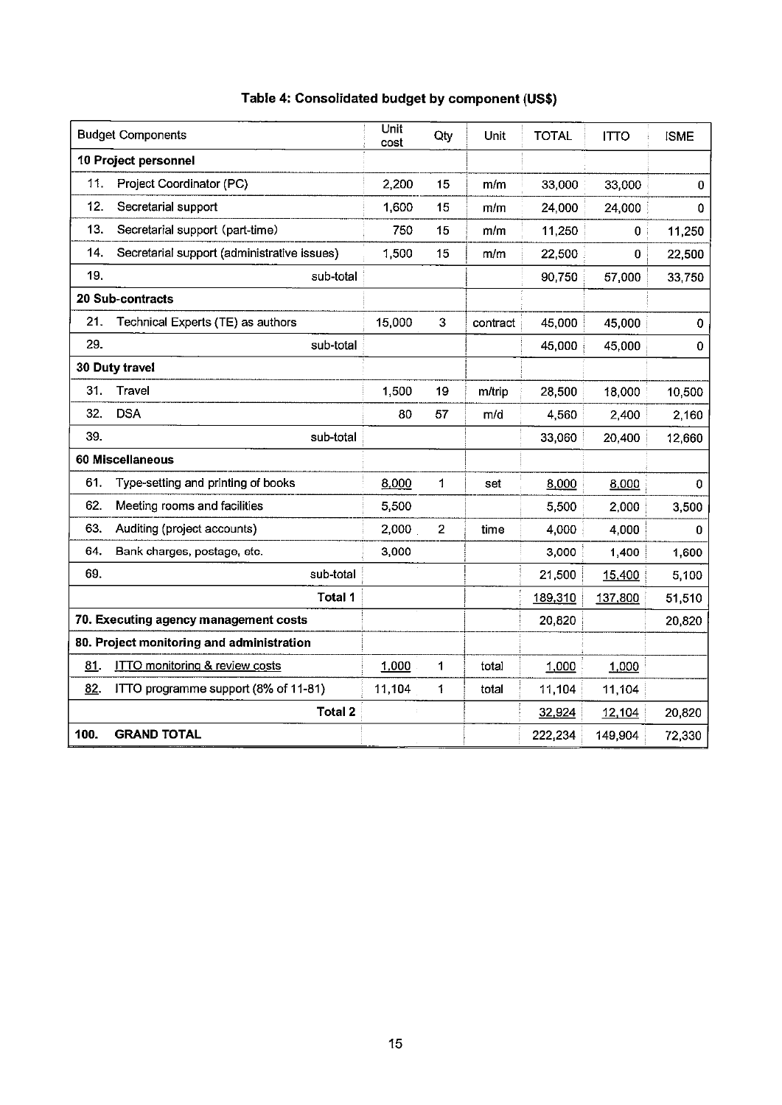|        | <b>Budget Components</b>                    | Unit<br>cost | Qty            | Unit     | <b>TOTAL</b> | <b>ITTO</b> | <b>ISME</b> |
|--------|---------------------------------------------|--------------|----------------|----------|--------------|-------------|-------------|
|        | 10 Project personnel                        |              |                |          |              |             |             |
| 11.    | Project Coordinator (PC)                    | 2.200        | 15             | m/m      | 33,000       | 33,000      | 0           |
| 12.    | Secretarial support                         | 1,600        | 15             | m/m      | 24.000       | 24,000      | 0           |
| 13.    | Secretarial support (part-time)             | 750          | 15             | m/m      | 11,250       | 0           | 11,250      |
| 14.    | Secretarial support (administrative issues) | 1,500        | 15             | m/m      | 22,500       | $\bf{0}$    | 22,500      |
| 19.    | sub-total                                   |              |                |          | 90,750       | 57,000      | 33,750      |
|        | 20 Sub-contracts                            |              |                |          |              |             |             |
| 21.    | Technical Experts (TE) as authors           | 15,000       | 3              | contract | 45,000       | 45,000      | 0           |
| 29.    | sub-total                                   |              |                |          | 45,000       | 45,000      | 0           |
|        | 30 Duty travel                              |              |                |          |              |             |             |
| 31.    | Travel                                      | 1,500        | 19             | m/trip   | 28,500       | 18,000      | 10,500      |
| 32.    | <b>DSA</b>                                  | 80           | 57             | m/d      | 4,560        | 2,400       | 2,160       |
| 39.    | sub-total                                   |              |                |          | 33,060       | 20,400      | 12,660      |
|        | 60 Miscellaneous                            |              |                |          |              |             |             |
| 61.    | Type-setting and printing of books          | 8,000        | 1              | set      | 8,000        | 8,000       | 0           |
| 62.    | Meeting rooms and facilities                | 5,500        |                |          | 5,500        | 2,000       | 3,500       |
| 63.    | Auditing (project accounts)                 | 2,000        | $\overline{2}$ | time     | 4,000        | 4,000       | 0           |
| 64.    | Bank charges, postage, etc.                 | 3,000        |                |          | 3,000        | 1,400       | 1,600       |
| 69.    | sub-total                                   |              |                |          | 21,500       | 15,400      | 5,100       |
|        | Total 1                                     |              |                |          | 189,310      | 137,800     | 51,510      |
|        | 70. Executing agency management costs       |              |                |          | 20,820       |             | 20,820      |
|        | 80. Project monitoring and administration   |              |                |          |              |             |             |
| $81$ . | <b>ITTO monitoring &amp; review costs</b>   | 1,000        | 1              | total    | 1,000        | 1,000       |             |
| 82.    | ITTO programme support (8% of 11-81)        | 11,104       | 1              | total    | 11,104       | 11,104      |             |
|        | <b>Total 2</b>                              |              |                |          | 32,924       | 12,104      | 20,820      |
| 100.   | <b>GRAND TOTAL</b>                          |              |                |          | 222,234      | 149,904     | 72,330      |

## Table 4: Consolidated budget by component (US\$)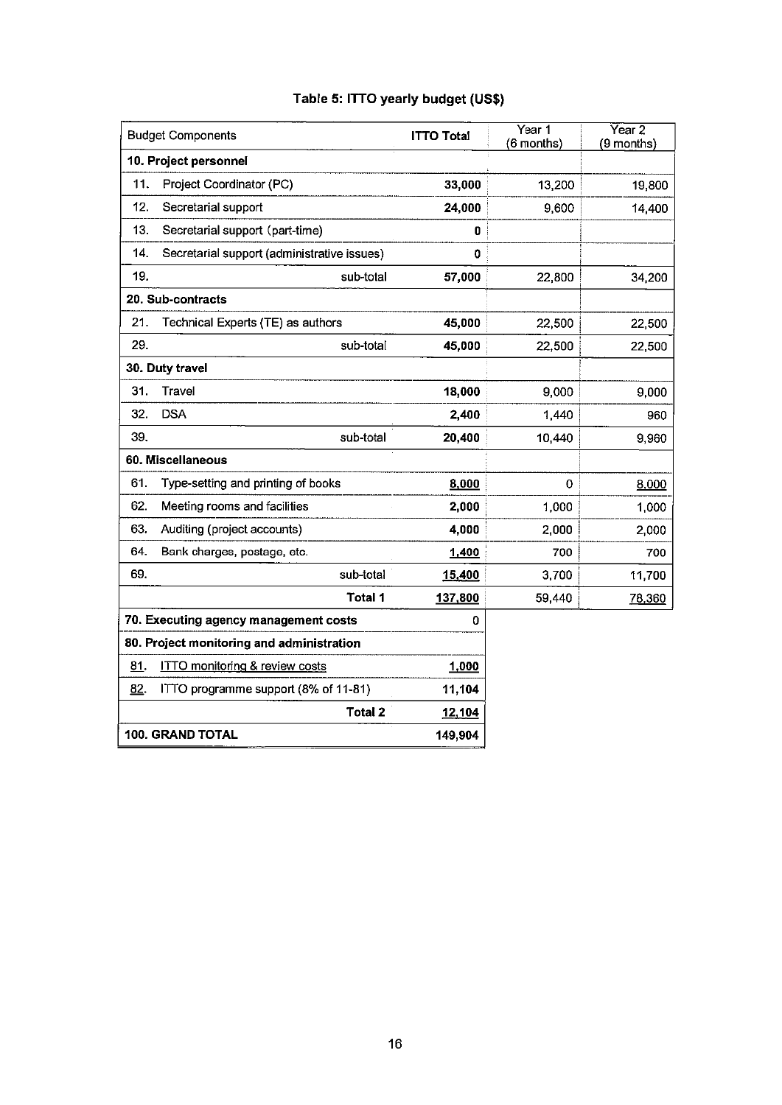|  |  |  |  | Table 5: ITTO yearly budget (US\$) |  |
|--|--|--|--|------------------------------------|--|
|--|--|--|--|------------------------------------|--|

|     | <b>Budget Components</b>                    | <b>ITTO Total</b> | Year 1<br>(6 months) | Year 2<br>(9 months) |
|-----|---------------------------------------------|-------------------|----------------------|----------------------|
|     | 10. Project personnel                       |                   |                      |                      |
| 11. | Project Coordinator (PC)                    | 33,000            | 13,200               | 19,800               |
| 12. | Secretarial support                         | 24,000            | 9,600                | 14,400               |
| 13. | Secretarial support (part-time)             | 0                 |                      |                      |
| 14. | Secretarial support (administrative issues) | 0                 |                      |                      |
| 19. | sub-total                                   | 57,000            | 22,800               | 34,200               |
|     | 20. Sub-contracts                           |                   |                      |                      |
| 21. | Technical Experts (TE) as authors           | 45,000            | 22,500               | 22,500               |
| 29. | sub-total                                   | 45,000            | 22,500               | 22,500               |
|     | 30. Duty travel                             |                   |                      |                      |
| 31. | Travel                                      | 18,000            | 9,000                | 9,000                |
| 32. | <b>DSA</b>                                  | 2,400             | 1,440                | 960                  |
| 39. | sub-total                                   | 20,400            | 10,440               | 9,960                |
|     | 60. Miscellaneous                           |                   |                      |                      |
| 61. | Type-setting and printing of books          | 8,000             | 0                    | 8,000                |
| 62. | Meeting rooms and facilities                | 2,000             | 1,000                | 1,000                |
| 63. | Auditing (project accounts)                 | 4,000             | 2,000                | 2,000                |
| 64. | Bank charges, postage, etc.                 | 1,400             | 700                  | 700                  |
| 69. | sub-total                                   | 15,400            | 3,700                | 11,700               |
|     | Total 1                                     | 137,800           | 59,440               | 78,360               |
|     | 70. Executing agency management costs       | 0                 |                      |                      |
|     | 80. Project monitoring and administration   |                   |                      |                      |
| 81. | <b>ITTO monitoring &amp; review costs</b>   | 1,000             |                      |                      |
| 82. | ITTO programme support (8% of 11-81)        | 11,104            |                      |                      |
|     | <b>Total 2</b>                              | 12,104            |                      |                      |
|     | 100. GRAND TOTAL                            | 149,904           |                      |                      |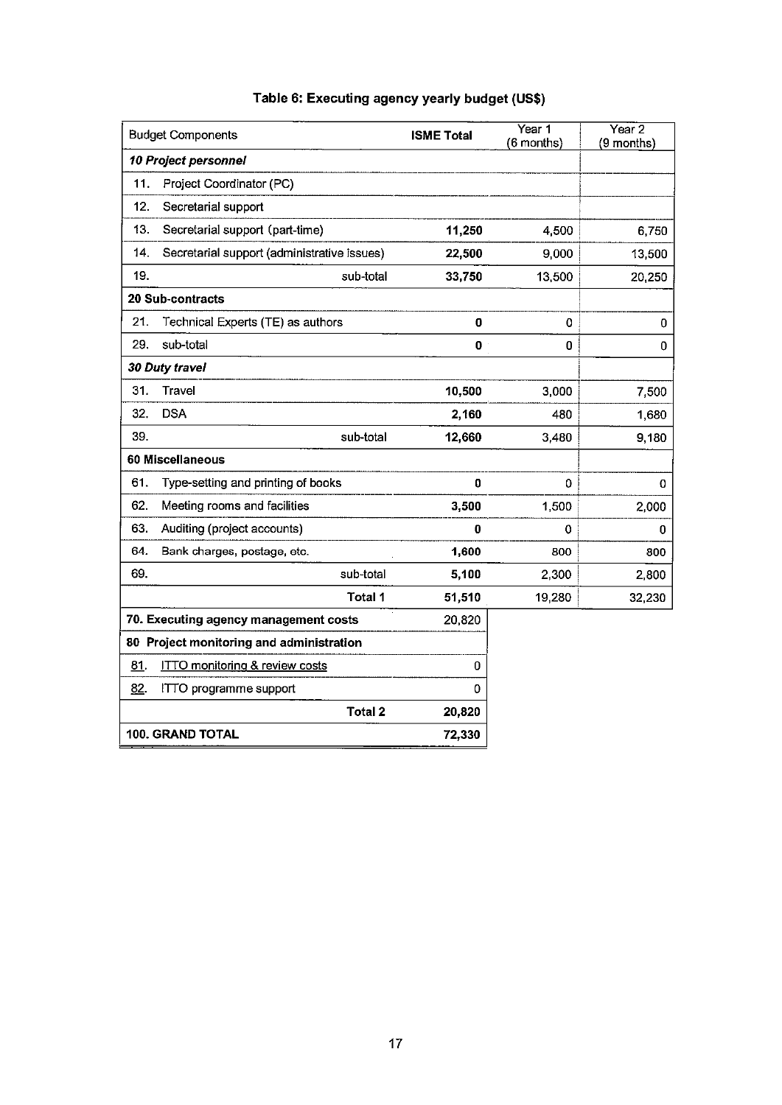| <b>Budget Components</b>                           | <b>ISME Total</b> | Year 1<br>(6 months) | Year 2<br>(9 months) |
|----------------------------------------------------|-------------------|----------------------|----------------------|
| 10 Project personnel                               |                   |                      |                      |
| Project Coordinator (PC)<br>11.                    |                   |                      |                      |
| 12.<br>Secretarial support                         |                   |                      |                      |
| Secretarial support (part-time)<br>13.             | 11,250            | 4,500                | 6,750                |
| 14.<br>Secretarial support (administrative issues) | 22,500            | 9,000                | 13,500               |
| 19.<br>sub-total                                   | 33,750            | 13,500               | 20,250               |
| 20 Sub-contracts                                   |                   |                      |                      |
| 21.<br>Technical Experts (TE) as authors           | 0                 | 0                    | $\pmb{0}$            |
| 29.<br>sub-total                                   | 0                 | 0                    | 0                    |
| 30 Duty travel                                     |                   |                      |                      |
| 31.<br><b>Travel</b>                               | 10,500            | 3,000                | 7,500                |
| 32.<br><b>DSA</b>                                  | 2,160             | 480                  | 1,680                |
| 39.<br>sub-total                                   | 12,660            | 3,480                | 9,180                |
| 60 Miscellaneous                                   |                   |                      |                      |
| 61.<br>Type-setting and printing of books          | 0                 | 0                    | 0                    |
| 62.<br>Meeting rooms and facilities                | 3,500             | 1,500                | 2,000                |
| 63.<br>Auditing (project accounts)                 | 0                 | 0                    | 0                    |
| 64.<br>Bank charges, postage, etc.                 | 1,600             | 800                  | 800                  |
| 69.<br>sub-total                                   | 5,100             | 2,300                | 2,800                |
| Total 1                                            | 51,510            | 19,280               | 32,230               |
| 70. Executing agency management costs              | 20,820            |                      |                      |
| 80 Project monitoring and administration           |                   |                      |                      |
| 81.<br><b>ITTO monitoring &amp; review costs</b>   | 0                 |                      |                      |
| 82.<br>ITTO programme support                      | 0                 |                      |                      |
| <b>Total 2</b>                                     | 20,820            |                      |                      |
| <b>100. GRAND TOTAL</b>                            | 72,330            |                      |                      |

## Table 6: Executing agency yearly budget (US\$)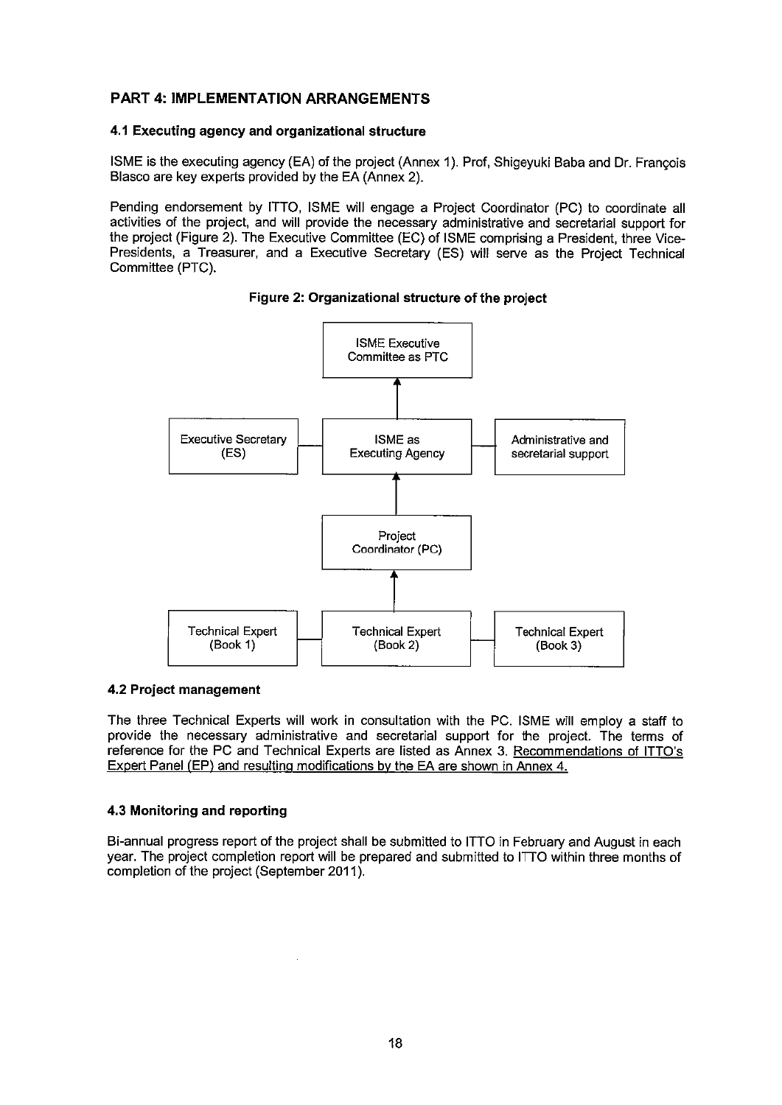## **PART 4: IMPLEMENTATION ARRANGEMENTS**

#### 4.1 Executing agency and organizational structure

ISME is the executing agency (EA) of the project (Annex 1). Prof, Shigeyuki Baba and Dr. François Blasco are key experts provided by the EA (Annex 2).

Pending endorsement by ITTO, ISME will engage a Project Coordinator (PC) to coordinate all activities of the project, and will provide the necessary administrative and secretarial support for the project (Figure 2). The Executive Committee (EC) of ISME comprising a President, three Vice-Presidents, a Treasurer, and a Executive Secretary (ES) will serve as the Project Technical Committee (PTC).





#### 4.2 Project management

The three Technical Experts will work in consultation with the PC. ISME will employ a staff to provide the necessary administrative and secretarial support for the project. The terms of reference for the PC and Technical Experts are listed as Annex 3. Recommendations of ITTO's Expert Panel (EP) and resulting modifications by the EA are shown in Annex 4.

#### 4.3 Monitoring and reporting

Bi-annual progress report of the project shall be submitted to ITTO in February and August in each year. The project completion report will be prepared and submitted to ITTO within three months of completion of the project (September 2011).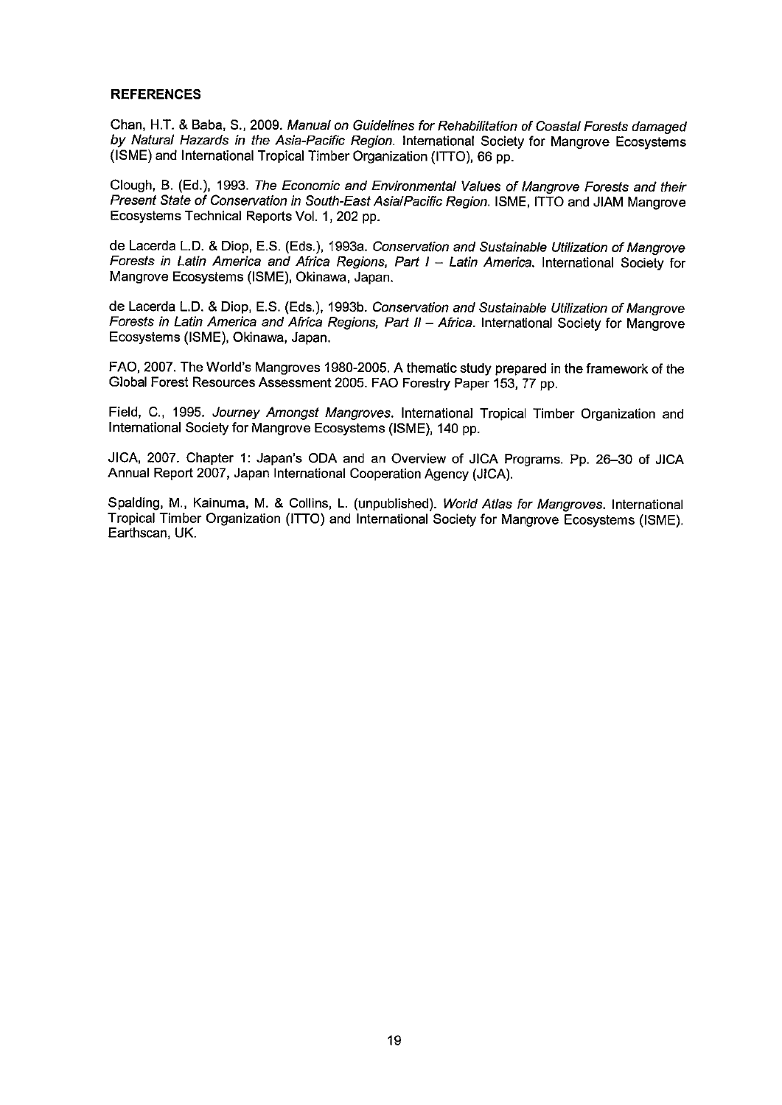#### **REFERENCES**

Chan, H.T. & Baba, S., 2009. Manual on Guidelines for Rehabilitation of Coastal Forests damaged by Natural Hazards in the Asia-Pacific Region. International Society for Mangrove Ecosystems (ISME) and International Tropical Timber Organization (ITTO), 66 pp.

Clough, B. (Ed.), 1993. The Economic and Environmental Values of Mangrove Forests and their Present State of Conservation in South-East AsialPacific Region. ISME, ITTO and JIAM Mangrove Ecosystems Technical Reports Vol. 1, 202 pp.

de Lacerda L.D. & Diop. E.S. (Eds.), 1993a. Conservation and Sustainable Utilization of Mangrove Forests in Latin America and Africa Regions, Part I - Latin America, International Society for Mangrove Ecosystems (ISME), Okinawa, Japan.

de Lacerda L.D. & Diop, E.S. (Eds.), 1993b. Conservation and Sustainable Utilization of Mangrove Forests in Latin America and Africa Regions, Part II - Africa. International Society for Mangrove Ecosystems (ISME), Okinawa, Japan.

FAO, 2007. The World's Mangroves 1980-2005. A thematic study prepared in the framework of the Global Forest Resources Assessment 2005. FAO Forestry Paper 153, 77 pp.

Field, C., 1995. Journey Amongst Mangroves. International Tropical Timber Organization and International Society for Mangrove Ecosystems (ISME), 140 pp.

JICA, 2007. Chapter 1: Japan's ODA and an Overview of JICA Programs. Pp. 26-30 of JICA Annual Report 2007, Japan International Cooperation Agency (JICA).

Spalding, M., Kainuma, M. & Collins, L. (unpublished). World Atlas for Mangroves. International Tropical Timber Organization (ITTO) and International Society for Mangrove Ecosystems (ISME). Earthscan, UK.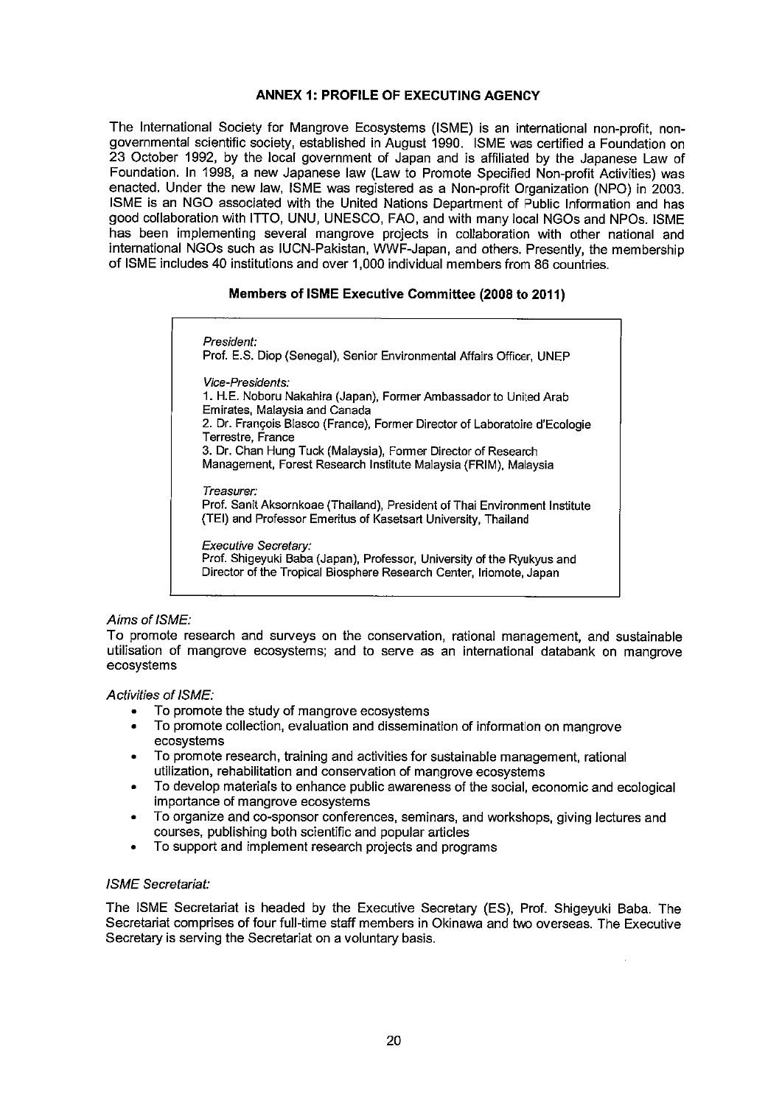#### ANNEX 1: PROFILE OF EXECUTING AGENCY

The International Society for Mangrove Ecosystems (ISME) is an international non-profit, nongovernmental scientific society, established in August 1990. ISME was certified a Foundation on 23 October 1992, by the local government of Japan and is affiliated by the Japanese Law of Foundation. In 1998, a new Japanese law (Law to Promote Specified Non-profit Activities) was enacted. Under the new law, ISME was registered as a Non-profit Organization (NPO) in 2003. ISME is an NGO associated with the United Nations Department of Public Information and has good collaboration with ITTO, UNU, UNESCO, FAO, and with many local NGOs and NPOs. ISME has been implementing several mangrove projects in collaboration with other national and international NGOs such as IUCN-Pakistan, WWF-Japan, and others. Presently, the membership of ISME includes 40 institutions and over 1,000 individual members from 86 countries.

#### Members of ISME Executive Committee (2008 to 2011)

President: Prof. E.S. Diop (Senegal), Senior Environmental Affairs Officer, UNEP Vice-Presidents: 1. H.E. Noboru Nakahira (Japan), Former Ambassador to United Arab Emirates, Malaysia and Canada 2. Dr. François Blasco (France), Former Director of Laboratoire d'Ecologie Terrestre, France 3. Dr. Chan Hung Tuck (Malaysia), Former Director of Research Management, Forest Research Institute Malaysia (FRIM). Malaysia Treasurer: Prof. Sanit Aksornkoae (Thailand). President of Thai Environment Institute (TEI) and Professor Emeritus of Kasetsart University, Thailand Executive Secretary:

Prof. Shigeyuki Baba (Japan), Professor, University of the Ryukyus and Director of the Tropical Biosphere Research Center, Iriomote, Japan

#### Aims of ISME:

To promote research and surveys on the conservation, rational management, and sustainable utilisation of mangrove ecosystems; and to serve as an international databank on mangrove ecosystems

#### **Activities of ISME:**

- To promote the study of mangrove ecosystems
- To promote collection, evaluation and dissemination of information on mangrove ecosystems
- To promote research, training and activities for sustainable management, rational utilization, rehabilitation and conservation of mangrove ecosystems
- To develop materials to enhance public awareness of the social, economic and ecological importance of mangrove ecosystems
- To organize and co-sponsor conferences, seminars, and workshops, giving lectures and courses, publishing both scientific and popular articles
- To support and implement research projects and programs

#### **ISME** Secretariat:

The ISME Secretariat is headed by the Executive Secretary (ES), Prof. Shigeyuki Baba. The Secretariat comprises of four full-time staff members in Okinawa and two overseas. The Executive Secretary is serving the Secretariat on a voluntary basis.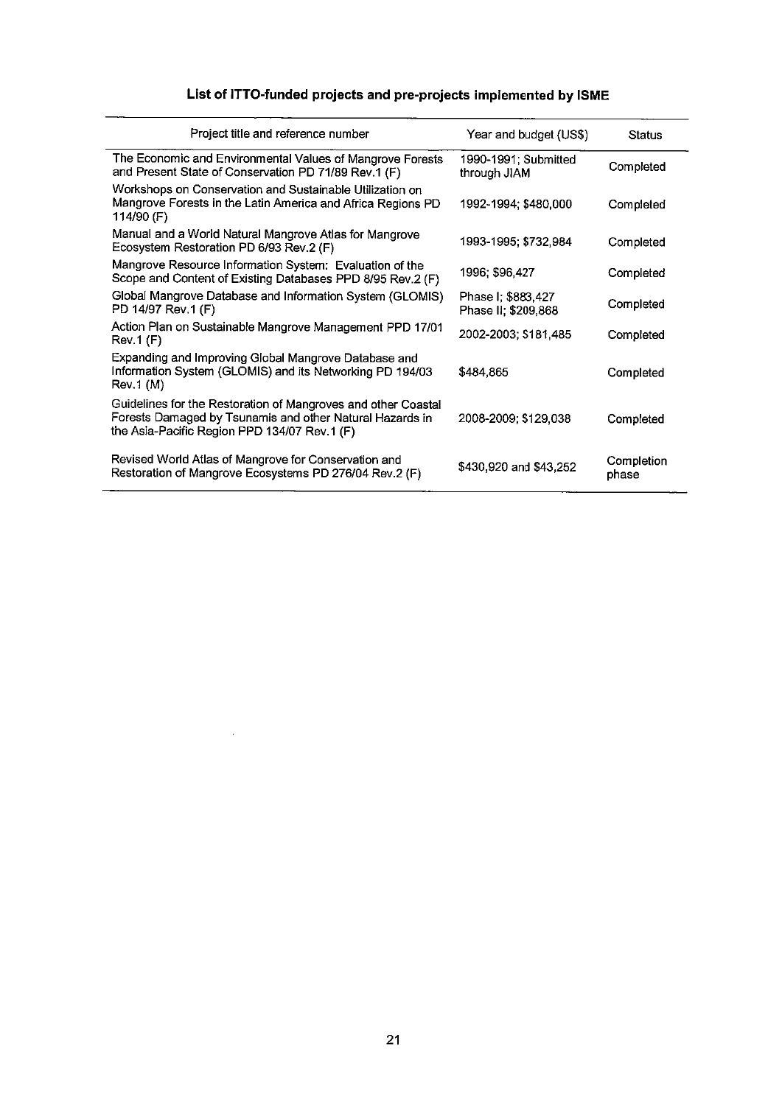## List of ITTO-funded projects and pre-projects implemented by ISME

| Project title and reference number                                                                                                                                        | Year and budget (US\$)                    | Status              |
|---------------------------------------------------------------------------------------------------------------------------------------------------------------------------|-------------------------------------------|---------------------|
| The Economic and Environmental Values of Mangrove Forests<br>and Present State of Conservation PD 71/89 Rev.1 (F)                                                         | 1990-1991; Submitted<br>through JIAM      | Completed           |
| Workshops on Conservation and Sustainable Utilization on<br>Mangrove Forests in the Latin America and Africa Regions PD<br>114/90 (F)                                     | 1992-1994; \$480,000                      | Completed           |
| Manual and a World Natural Mangrove Atlas for Mangrove<br>Ecosystem Restoration PD 6/93 Rev.2 (F)                                                                         | 1993-1995; \$732,984                      | Completed           |
| Mangrove Resource Information System: Evaluation of the<br>Scope and Content of Existing Databases PPD 8/95 Rev.2 (F)                                                     | 1996: \$96,427                            | Completed           |
| Global Mangrove Database and Information System (GLOMIS)<br>PD 14/97 Rev.1 (F)                                                                                            | Phase I: \$883,427<br>Phase II; \$209,868 | Completed           |
| Action Plan on Sustainable Mangrove Management PPD 17/01<br>Rev.1(F)                                                                                                      | 2002-2003; \$181,485                      | Completed           |
| Expanding and Improving Global Mangrove Database and<br>Information System (GLOMIS) and its Networking PD 194/03<br>Rev.1(M)                                              | \$484,865                                 | Completed           |
| Guidelines for the Restoration of Mangroves and other Coastal<br>Forests Damaged by Tsunamis and other Natural Hazards in<br>the Asia-Pacific Region PPD 134/07 Rev.1 (F) | 2008-2009; \$129,038                      | Completed           |
| Revised World Atlas of Mangrove for Conservation and<br>Restoration of Mangrove Ecosystems PD 276/04 Rev.2 (F)                                                            | \$430,920 and \$43,252                    | Completion<br>phase |

 $\sim$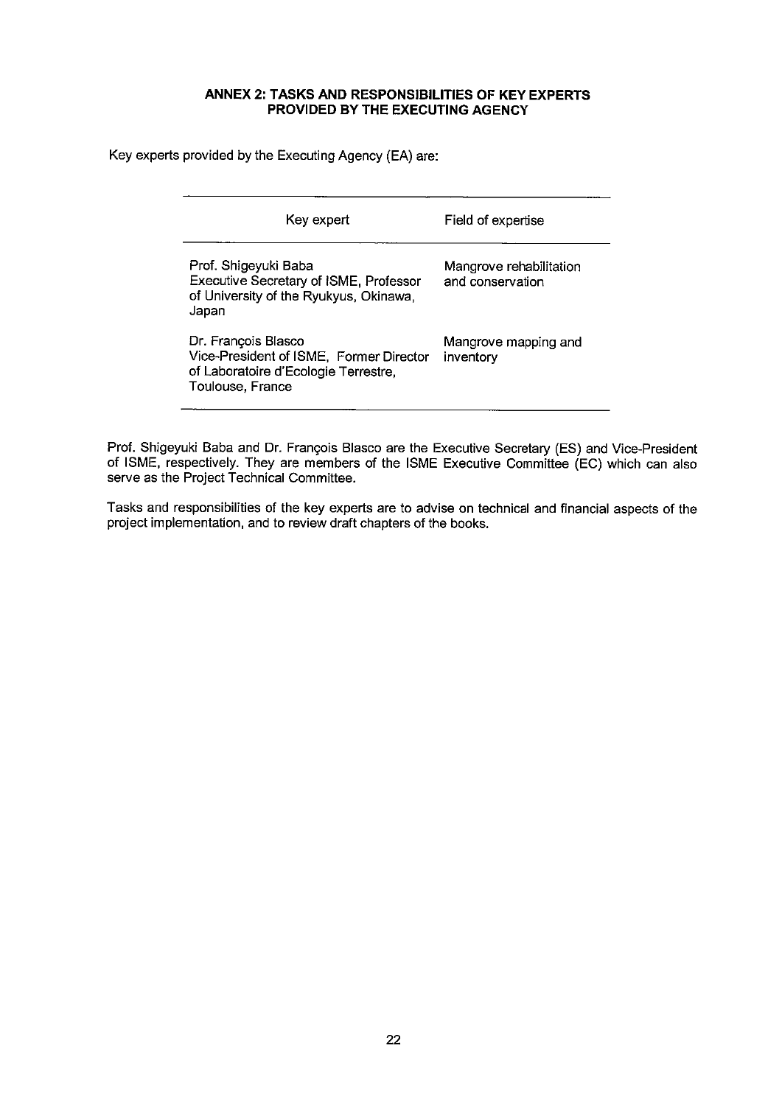#### ANNEX 2: TASKS AND RESPONSIBILITIES OF KEY EXPERTS PROVIDED BY THE EXECUTING AGENCY

Key experts provided by the Executing Agency (EA) are:

| Key expert                                                                                                                 | Field of expertise                          |
|----------------------------------------------------------------------------------------------------------------------------|---------------------------------------------|
| Prof. Shigeyuki Baba<br>Executive Secretary of ISME, Professor<br>of University of the Ryukyus, Okinawa,<br>Japan          | Mangrove rehabilitation<br>and conservation |
| Dr. François Blasco<br>Vice-President of ISME, Former Director<br>of Laboratoire d'Ecologie Terrestre,<br>Toulouse, France | Mangrove mapping and<br>inventory           |

Prof. Shigeyuki Baba and Dr. François Blasco are the Executive Secretary (ES) and Vice-President of ISME, respectively. They are members of the ISME Executive Committee (EC) which can also serve as the Project Technical Committee.

Tasks and responsibilities of the key experts are to advise on technical and financial aspects of the project implementation, and to review draft chapters of the books.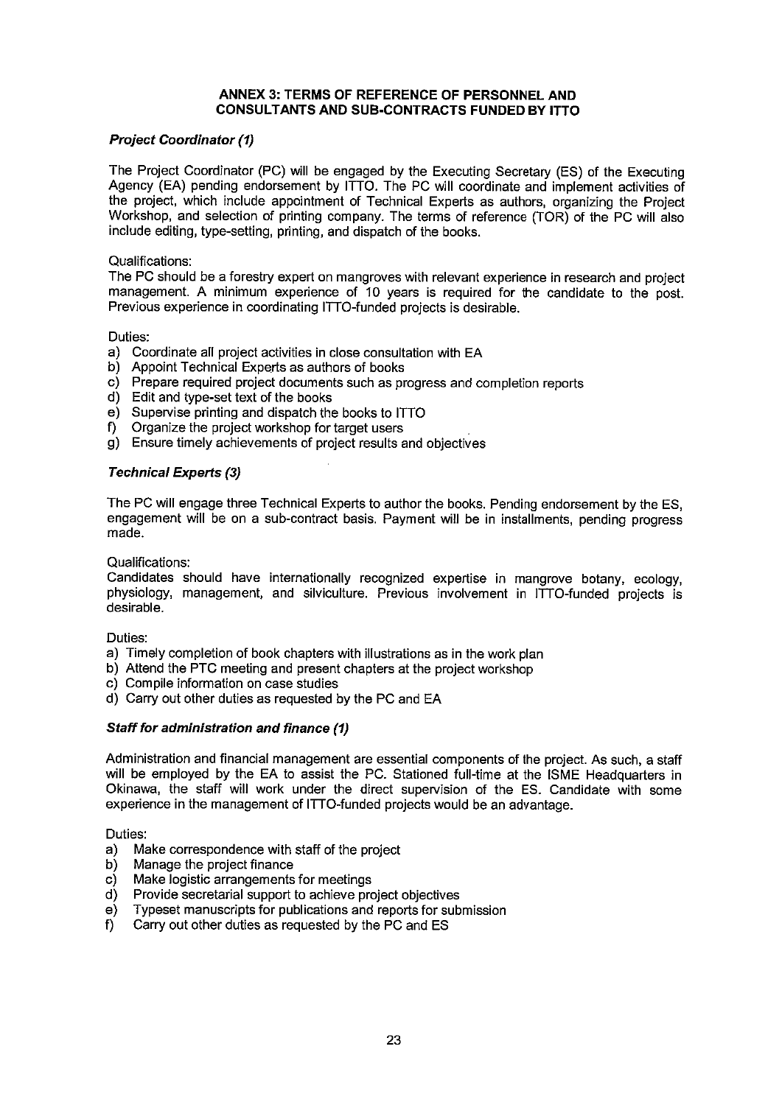#### ANNEX 3: TERMS OF REFERENCE OF PERSONNEL AND CONSULTANTS AND SUB-CONTRACTS FUNDED BY ITTO

#### **Project Coordinator (1)**

The Project Coordinator (PC) will be engaged by the Executing Secretary (ES) of the Executing Agency (EA) pending endorsement by ITTO. The PC will coordinate and implement activities of the project, which include appointment of Technical Experts as authors, organizing the Project Workshop, and selection of printing company. The terms of reference (TOR) of the PC will also include editing, type-setting, printing, and dispatch of the books.

#### Qualifications:

The PC should be a forestry expert on mangroves with relevant experience in research and project management. A minimum experience of 10 years is required for the candidate to the post. Previous experience in coordinating ITTO-funded projects is desirable.

Duties:

- a) Coordinate all project activities in close consultation with EA
- b) Appoint Technical Experts as authors of books
- c) Prepare required project documents such as progress and completion reports
- d) Edit and type-set text of the books
- e) Supervise printing and dispatch the books to ITTO
- f) Organize the project workshop for target users
- g) Ensure timely achievements of project results and objectives

#### **Technical Experts (3)**

The PC will engage three Technical Experts to author the books. Pending endorsement by the ES, engagement will be on a sub-contract basis. Payment will be in installments, pending progress made.

Qualifications:

Candidates should have internationally recognized expertise in mangrove botany, ecology, physiology, management, and silviculture. Previous involvement in ITTO-funded projects is desirable.

Duties:

- a) Timely completion of book chapters with illustrations as in the work plan
- b) Attend the PTC meeting and present chapters at the project workshop
- c) Compile information on case studies
- d) Carry out other duties as requested by the PC and EA

#### Staff for administration and finance (1)

Administration and financial management are essential components of the project. As such, a staff will be employed by the EA to assist the PC. Stationed full-time at the ISME Headquarters in Okinawa, the staff will work under the direct supervision of the ES. Candidate with some experience in the management of ITTO-funded projects would be an advantage.

Duties:

- $a)$ Make correspondence with staff of the project
- b) Manage the project finance
- $c)$ Make logistic arrangements for meetings
- $\mathsf{d}$ Provide secretarial support to achieve project objectives
- Typeset manuscripts for publications and reports for submission  $e)$
- Carry out other duties as requested by the PC and ES  $f$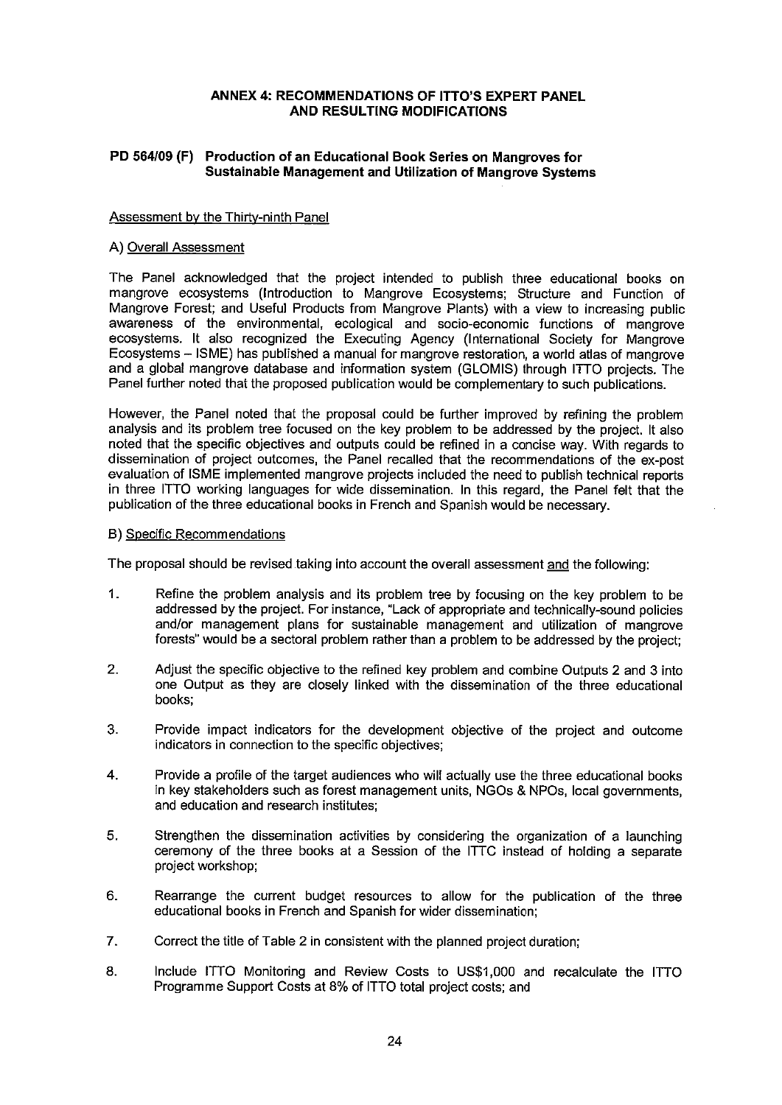#### ANNEX 4: RECOMMENDATIONS OF ITTO'S EXPERT PANEL **AND RESULTING MODIFICATIONS**

#### PD 564/09 (F) Production of an Educational Book Series on Mangroves for Sustainable Management and Utilization of Mangrove Systems

#### Assessment by the Thirty-ninth Panel

#### A) Overall Assessment

The Panel acknowledged that the project intended to publish three educational books on mangrove ecosystems (Introduction to Mangrove Ecosystems; Structure and Function of Mangrove Forest; and Useful Products from Mangrove Plants) with a view to increasing public awareness of the environmental, ecological and socio-economic functions of mangrove ecosystems. It also recognized the Executing Agency (International Society for Mangrove Ecosystems - ISME) has published a manual for mangrove restoration, a world atlas of mangrove and a global mangrove database and information system (GLOMIS) through ITTO projects. The Panel further noted that the proposed publication would be complementary to such publications.

However, the Panel noted that the proposal could be further improved by refining the problem analysis and its problem tree focused on the key problem to be addressed by the project. It also noted that the specific objectives and outputs could be refined in a concise way. With regards to dissemination of project outcomes, the Panel recalled that the recommendations of the ex-post evaluation of ISME implemented mangrove projects included the need to publish technical reports in three ITTO working languages for wide dissemination. In this regard, the Panel felt that the publication of the three educational books in French and Spanish would be necessary.

#### **B)** Specific Recommendations

The proposal should be revised taking into account the overall assessment and the following:

- $1.$ Refine the problem analysis and its problem tree by focusing on the key problem to be addressed by the project. For instance, "Lack of appropriate and technically-sound policies and/or management plans for sustainable management and utilization of mangrove forests" would be a sectoral problem rather than a problem to be addressed by the project;
- $2.$ Adjust the specific objective to the refined key problem and combine Outputs 2 and 3 into one Output as they are closely linked with the dissemination of the three educational books:
- 3. Provide impact indicators for the development objective of the project and outcome indicators in connection to the specific objectives;
- 4. Provide a profile of the target audiences who will actually use the three educational books in key stakeholders such as forest management units, NGOs & NPOs, local governments, and education and research institutes;
- 5. Strengthen the dissemination activities by considering the organization of a launching ceremony of the three books at a Session of the ITTC instead of holding a separate project workshop:
- Rearrange the current budget resources to allow for the publication of the three 6. educational books in French and Spanish for wider dissemination:
- $7.$ Correct the title of Table 2 in consistent with the planned project duration:
- 8. Include ITTO Monitoring and Review Costs to US\$1,000 and recalculate the ITTO Programme Support Costs at 8% of ITTO total project costs; and